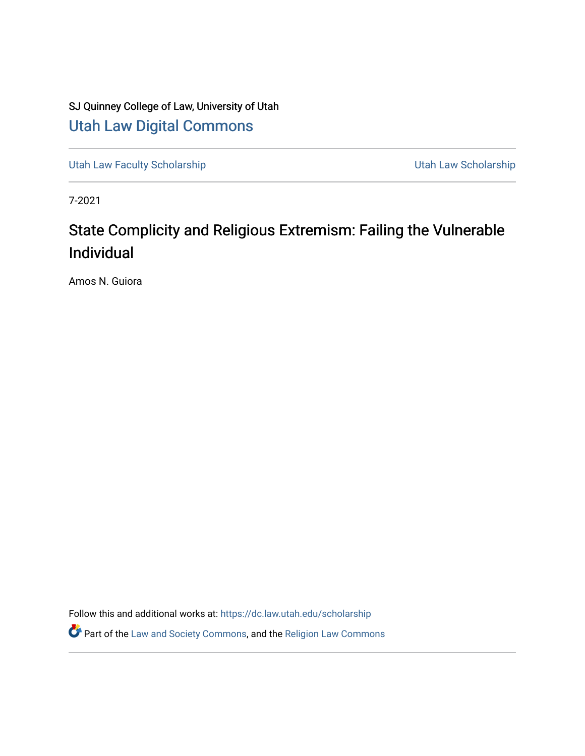# SJ Quinney College of Law, University of Utah [Utah Law Digital Commons](https://dc.law.utah.edu/)

[Utah Law Faculty Scholarship](https://dc.law.utah.edu/scholarship) **Vertilian Control Control Control Control Control Control Control Control Control Control Control Control Control Control Control Control Control Control Control Control Control Control Contro** 

7-2021

# State Complicity and Religious Extremism: Failing the Vulnerable Individual

Amos N. Guiora

Follow this and additional works at: [https://dc.law.utah.edu/scholarship](https://dc.law.utah.edu/scholarship?utm_source=dc.law.utah.edu%2Fscholarship%2F304&utm_medium=PDF&utm_campaign=PDFCoverPages) 

Part of the [Law and Society Commons](http://network.bepress.com/hgg/discipline/853?utm_source=dc.law.utah.edu%2Fscholarship%2F304&utm_medium=PDF&utm_campaign=PDFCoverPages), and the [Religion Law Commons](http://network.bepress.com/hgg/discipline/872?utm_source=dc.law.utah.edu%2Fscholarship%2F304&utm_medium=PDF&utm_campaign=PDFCoverPages)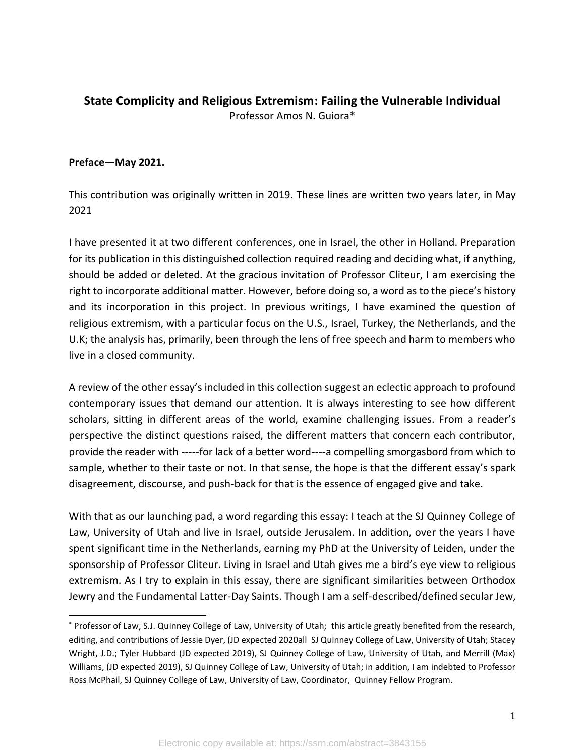# **State Complicity and Religious Extremism: Failing the Vulnerable Individual** Professor Amos N. Guiora\*

#### **Preface—May 2021.**

This contribution was originally written in 2019. These lines are written two years later, in May 2021

I have presented it at two different conferences, one in Israel, the other in Holland. Preparation for its publication in this distinguished collection required reading and deciding what, if anything, should be added or deleted. At the gracious invitation of Professor Cliteur, I am exercising the right to incorporate additional matter. However, before doing so, a word as to the piece's history and its incorporation in this project. In previous writings, I have examined the question of religious extremism, with a particular focus on the U.S., Israel, Turkey, the Netherlands, and the U.K; the analysis has, primarily, been through the lens of free speech and harm to members who live in a closed community.

A review of the other essay's included in this collection suggest an eclectic approach to profound contemporary issues that demand our attention. It is always interesting to see how different scholars, sitting in different areas of the world, examine challenging issues. From a reader's perspective the distinct questions raised, the different matters that concern each contributor, provide the reader with -----for lack of a better word----a compelling smorgasbord from which to sample, whether to their taste or not. In that sense, the hope is that the different essay's spark disagreement, discourse, and push-back for that is the essence of engaged give and take.

With that as our launching pad, a word regarding this essay: I teach at the SJ Quinney College of Law, University of Utah and live in Israel, outside Jerusalem. In addition, over the years I have spent significant time in the Netherlands, earning my PhD at the University of Leiden, under the sponsorship of Professor Cliteur. Living in Israel and Utah gives me a bird's eye view to religious extremism. As I try to explain in this essay, there are significant similarities between Orthodox Jewry and the Fundamental Latter-Day Saints. Though I am a self-described/defined secular Jew,

<sup>\*</sup> Professor of Law, S.J. Quinney College of Law, University of Utah; this article greatly benefited from the research, editing, and contributions of Jessie Dyer, (JD expected 2020all SJ Quinney College of Law, University of Utah; Stacey Wright, J.D.; Tyler Hubbard (JD expected 2019), SJ Quinney College of Law, University of Utah, and Merrill (Max) Williams, (JD expected 2019), SJ Quinney College of Law, University of Utah; in addition, I am indebted to Professor Ross McPhail, SJ Quinney College of Law, University of Law, Coordinator, Quinney Fellow Program.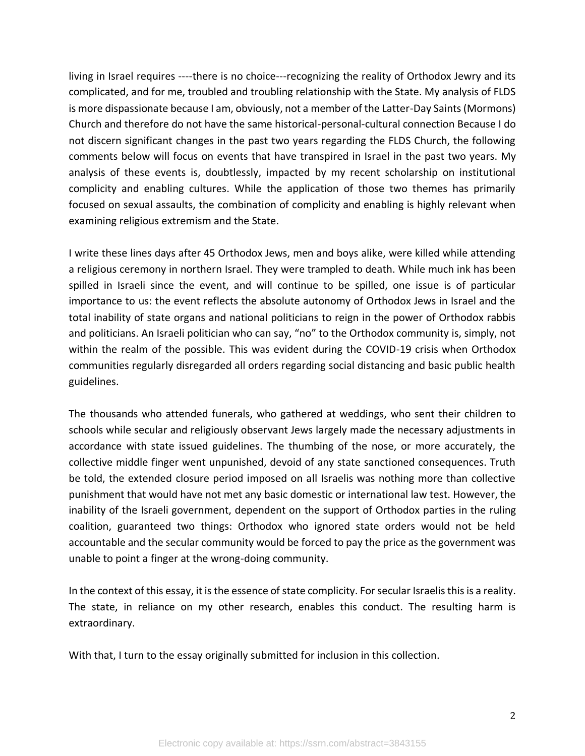living in Israel requires ----there is no choice---recognizing the reality of Orthodox Jewry and its complicated, and for me, troubled and troubling relationship with the State. My analysis of FLDS is more dispassionate because I am, obviously, not a member of the Latter-Day Saints (Mormons) Church and therefore do not have the same historical-personal-cultural connection Because I do not discern significant changes in the past two years regarding the FLDS Church, the following comments below will focus on events that have transpired in Israel in the past two years. My analysis of these events is, doubtlessly, impacted by my recent scholarship on institutional complicity and enabling cultures. While the application of those two themes has primarily focused on sexual assaults, the combination of complicity and enabling is highly relevant when examining religious extremism and the State.

I write these lines days after 45 Orthodox Jews, men and boys alike, were killed while attending a religious ceremony in northern Israel. They were trampled to death. While much ink has been spilled in Israeli since the event, and will continue to be spilled, one issue is of particular importance to us: the event reflects the absolute autonomy of Orthodox Jews in Israel and the total inability of state organs and national politicians to reign in the power of Orthodox rabbis and politicians. An Israeli politician who can say, "no" to the Orthodox community is, simply, not within the realm of the possible. This was evident during the COVID-19 crisis when Orthodox communities regularly disregarded all orders regarding social distancing and basic public health guidelines.

The thousands who attended funerals, who gathered at weddings, who sent their children to schools while secular and religiously observant Jews largely made the necessary adjustments in accordance with state issued guidelines. The thumbing of the nose, or more accurately, the collective middle finger went unpunished, devoid of any state sanctioned consequences. Truth be told, the extended closure period imposed on all Israelis was nothing more than collective punishment that would have not met any basic domestic or international law test. However, the inability of the Israeli government, dependent on the support of Orthodox parties in the ruling coalition, guaranteed two things: Orthodox who ignored state orders would not be held accountable and the secular community would be forced to pay the price as the government was unable to point a finger at the wrong-doing community.

In the context of this essay, it is the essence of state complicity. For secular Israelis this is a reality. The state, in reliance on my other research, enables this conduct. The resulting harm is extraordinary.

With that, I turn to the essay originally submitted for inclusion in this collection.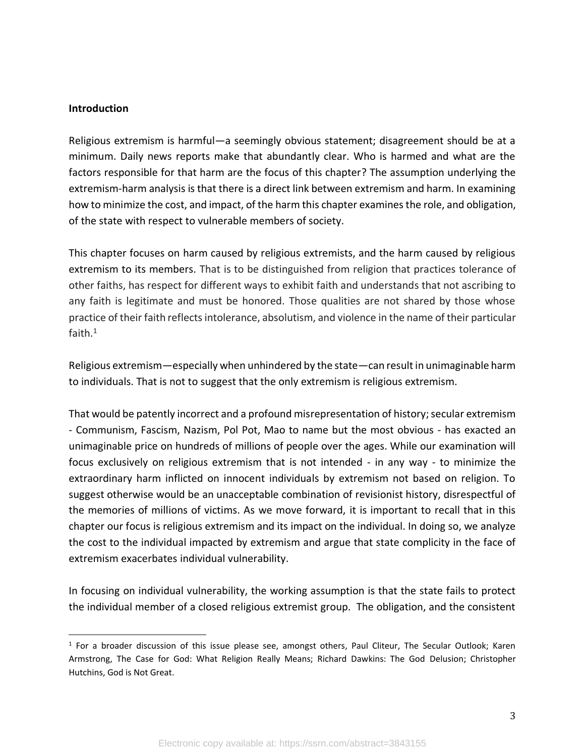#### **Introduction**

Religious extremism is harmful—a seemingly obvious statement; disagreement should be at a minimum. Daily news reports make that abundantly clear. Who is harmed and what are the factors responsible for that harm are the focus of this chapter? The assumption underlying the extremism-harm analysis is that there is a direct link between extremism and harm. In examining how to minimize the cost, and impact, of the harm this chapter examines the role, and obligation, of the state with respect to vulnerable members of society.

This chapter focuses on harm caused by religious extremists, and the harm caused by religious extremism to its members. That is to be distinguished from religion that practices tolerance of other faiths, has respect for different ways to exhibit faith and understands that not ascribing to any faith is legitimate and must be honored. Those qualities are not shared by those whose practice of their faith reflects intolerance, absolutism, and violence in the name of their particular faith. $1$ 

Religious extremism—especially when unhindered by the state—can result in unimaginable harm to individuals. That is not to suggest that the only extremism is religious extremism.

That would be patently incorrect and a profound misrepresentation of history; secular extremism - Communism, Fascism, Nazism, Pol Pot, Mao to name but the most obvious - has exacted an unimaginable price on hundreds of millions of people over the ages. While our examination will focus exclusively on religious extremism that is not intended - in any way - to minimize the extraordinary harm inflicted on innocent individuals by extremism not based on religion. To suggest otherwise would be an unacceptable combination of revisionist history, disrespectful of the memories of millions of victims. As we move forward, it is important to recall that in this chapter our focus is religious extremism and its impact on the individual. In doing so, we analyze the cost to the individual impacted by extremism and argue that state complicity in the face of extremism exacerbates individual vulnerability.

In focusing on individual vulnerability, the working assumption is that the state fails to protect the individual member of a closed religious extremist group. The obligation, and the consistent

<sup>1</sup> For a broader discussion of this issue please see, amongst others, Paul Cliteur, The Secular Outlook; Karen Armstrong, The Case for God: What Religion Really Means; Richard Dawkins: The God Delusion; Christopher Hutchins, God is Not Great.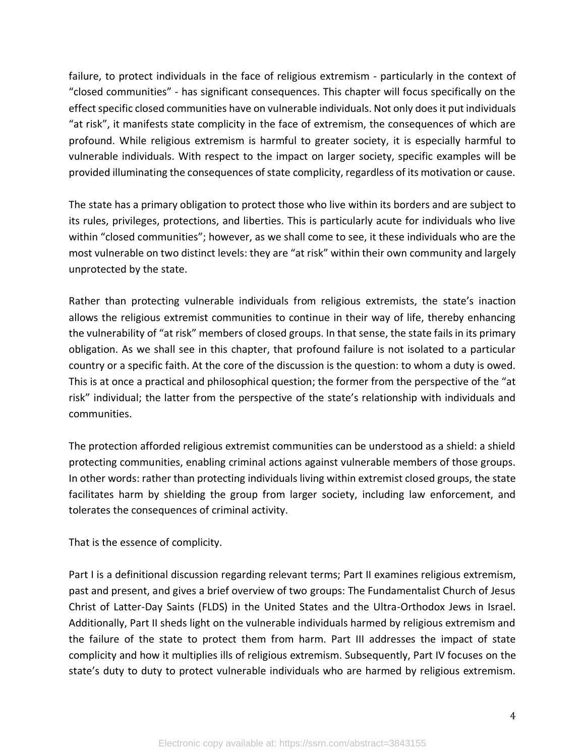failure, to protect individuals in the face of religious extremism - particularly in the context of "closed communities" - has significant consequences. This chapter will focus specifically on the effect specific closed communities have on vulnerable individuals. Not only does it put individuals "at risk", it manifests state complicity in the face of extremism, the consequences of which are profound. While religious extremism is harmful to greater society, it is especially harmful to vulnerable individuals. With respect to the impact on larger society, specific examples will be provided illuminating the consequences of state complicity, regardless of its motivation or cause.

The state has a primary obligation to protect those who live within its borders and are subject to its rules, privileges, protections, and liberties. This is particularly acute for individuals who live within "closed communities"; however, as we shall come to see, it these individuals who are the most vulnerable on two distinct levels: they are "at risk" within their own community and largely unprotected by the state.

Rather than protecting vulnerable individuals from religious extremists, the state's inaction allows the religious extremist communities to continue in their way of life, thereby enhancing the vulnerability of "at risk" members of closed groups. In that sense, the state fails in its primary obligation. As we shall see in this chapter, that profound failure is not isolated to a particular country or a specific faith. At the core of the discussion is the question: to whom a duty is owed. This is at once a practical and philosophical question; the former from the perspective of the "at risk" individual; the latter from the perspective of the state's relationship with individuals and communities.

The protection afforded religious extremist communities can be understood as a shield: a shield protecting communities, enabling criminal actions against vulnerable members of those groups. In other words: rather than protecting individuals living within extremist closed groups, the state facilitates harm by shielding the group from larger society, including law enforcement, and tolerates the consequences of criminal activity.

That is the essence of complicity.

Part I is a definitional discussion regarding relevant terms; Part II examines religious extremism, past and present, and gives a brief overview of two groups: The Fundamentalist Church of Jesus Christ of Latter-Day Saints (FLDS) in the United States and the Ultra-Orthodox Jews in Israel. Additionally, Part II sheds light on the vulnerable individuals harmed by religious extremism and the failure of the state to protect them from harm. Part III addresses the impact of state complicity and how it multiplies ills of religious extremism. Subsequently, Part IV focuses on the state's duty to duty to protect vulnerable individuals who are harmed by religious extremism.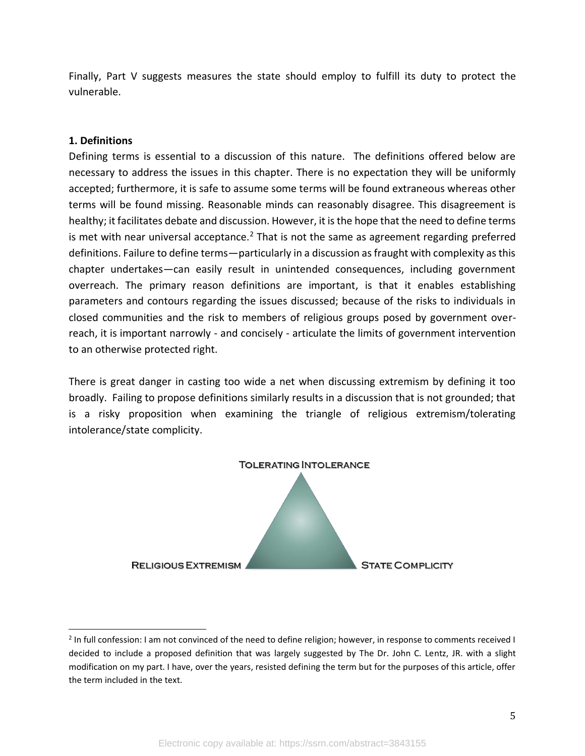Finally, Part V suggests measures the state should employ to fulfill its duty to protect the vulnerable.

#### **1. Definitions**

Defining terms is essential to a discussion of this nature. The definitions offered below are necessary to address the issues in this chapter. There is no expectation they will be uniformly accepted; furthermore, it is safe to assume some terms will be found extraneous whereas other terms will be found missing. Reasonable minds can reasonably disagree. This disagreement is healthy; it facilitates debate and discussion. However, it is the hope that the need to define terms is met with near universal acceptance.<sup>2</sup> That is not the same as agreement regarding preferred definitions. Failure to define terms—particularly in a discussion as fraught with complexity as this chapter undertakes—can easily result in unintended consequences, including government overreach. The primary reason definitions are important, is that it enables establishing parameters and contours regarding the issues discussed; because of the risks to individuals in closed communities and the risk to members of religious groups posed by government overreach, it is important narrowly - and concisely - articulate the limits of government intervention to an otherwise protected right.

There is great danger in casting too wide a net when discussing extremism by defining it too broadly. Failing to propose definitions similarly results in a discussion that is not grounded; that is a risky proposition when examining the triangle of religious extremism/tolerating intolerance/state complicity.



<sup>&</sup>lt;sup>2</sup> In full confession: I am not convinced of the need to define religion; however, in response to comments received I decided to include a proposed definition that was largely suggested by The Dr. John C. Lentz, JR. with a slight modification on my part. I have, over the years, resisted defining the term but for the purposes of this article, offer the term included in the text.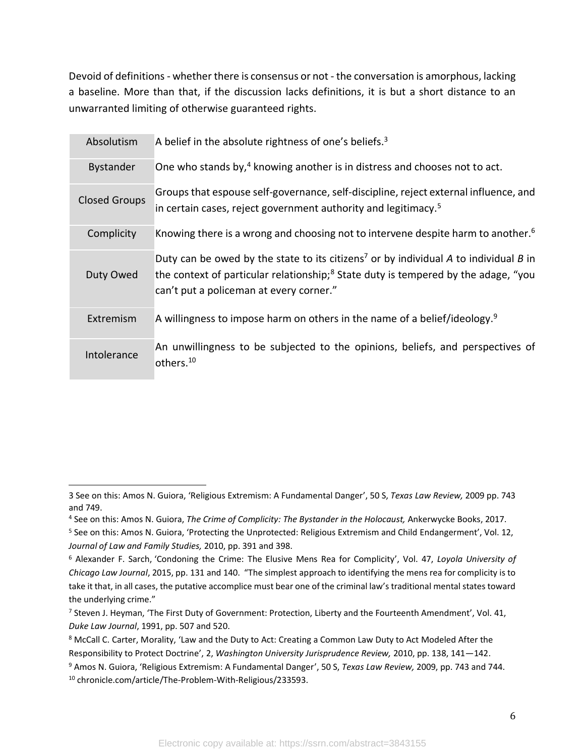Devoid of definitions - whether there is consensus or not - the conversation is amorphous, lacking a baseline. More than that, if the discussion lacks definitions, it is but a short distance to an unwarranted limiting of otherwise guaranteed rights.

| Absolutism           | A belief in the absolute rightness of one's beliefs. $3$                                                                                                                                                                                      |
|----------------------|-----------------------------------------------------------------------------------------------------------------------------------------------------------------------------------------------------------------------------------------------|
| <b>Bystander</b>     | One who stands by, <sup>4</sup> knowing another is in distress and chooses not to act.                                                                                                                                                        |
| <b>Closed Groups</b> | Groups that espouse self-governance, self-discipline, reject external influence, and<br>in certain cases, reject government authority and legitimacy. <sup>5</sup>                                                                            |
| Complicity           | Knowing there is a wrong and choosing not to intervene despite harm to another. <sup>6</sup>                                                                                                                                                  |
| Duty Owed            | Duty can be owed by the state to its citizens <sup>7</sup> or by individual A to individual B in<br>the context of particular relationship; <sup>8</sup> State duty is tempered by the adage, "you<br>can't put a policeman at every corner." |
| Extremism            | A willingness to impose harm on others in the name of a belief/ideology. <sup>9</sup>                                                                                                                                                         |
| Intolerance          | An unwillingness to be subjected to the opinions, beliefs, and perspectives of<br>others. <sup>10</sup>                                                                                                                                       |

<sup>3</sup> See on this: Amos N. Guiora, 'Religious Extremism: A Fundamental Danger', 50 S, *Texas Law Review,* 2009 pp. 743 and 749.

<sup>4</sup> See on this: Amos N. Guiora, *The Crime of Complicity: The Bystander in the Holocaust,* Ankerwycke Books, 2017.

<sup>5</sup> See on this: Amos N. Guiora, 'Protecting the Unprotected: Religious Extremism and Child Endangerment', Vol. 12, *Journal of Law and Family Studies,* 2010, pp. 391 and 398.

<sup>6</sup> Alexander F. Sarch, 'Condoning the Crime: The Elusive Mens Rea for Complicity', Vol. 47, *Loyola University of Chicago Law Journal*, 2015, pp. 131 and 140. "The simplest approach to identifying the mens rea for complicity is to take it that, in all cases, the putative accomplice must bear one of the criminal law's traditional mental states toward the underlying crime."

<sup>7</sup> Steven J. Heyman, 'The First Duty of Government: Protection, Liberty and the Fourteenth Amendment', Vol. 41, *Duke Law Journal*, 1991, pp. 507 and 520.

<sup>8</sup> McCall C. Carter, Morality, 'Law and the Duty to Act: Creating a Common Law Duty to Act Modeled After the Responsibility to Protect Doctrine', 2, *Washington University Jurisprudence Review,* 2010, pp. 138, 141—142.

<sup>9</sup> Amos N. Guiora, 'Religious Extremism: A Fundamental Danger', 50 S, *Texas Law Review,* 2009, pp. 743 and 744. <sup>10</sup> chronicle.com/article/The-Problem-With-Religious/233593.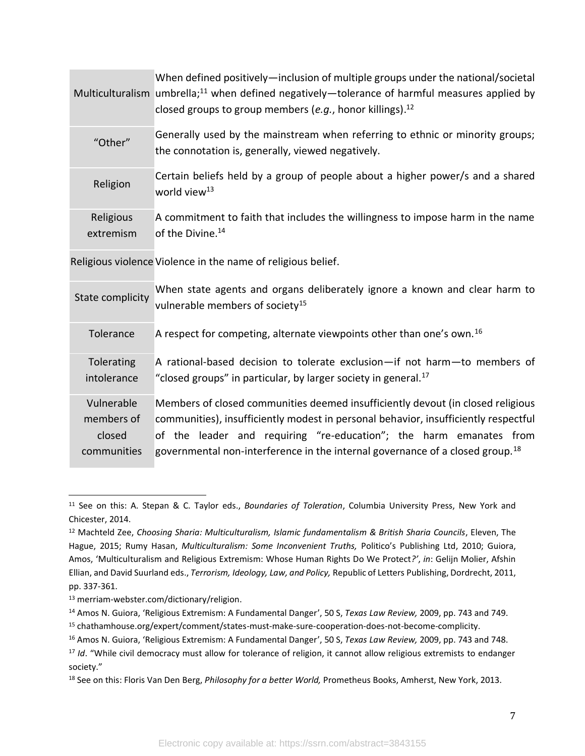|                        | When defined positively—inclusion of multiple groups under the national/societal<br>Multiculturalism umbrella; <sup>11</sup> when defined negatively—tolerance of harmful measures applied by<br>closed groups to group members (e.g., honor killings). <sup>12</sup> |
|------------------------|-----------------------------------------------------------------------------------------------------------------------------------------------------------------------------------------------------------------------------------------------------------------------|
| "Other"                | Generally used by the mainstream when referring to ethnic or minority groups;<br>the connotation is, generally, viewed negatively.                                                                                                                                    |
| Religion               | Certain beliefs held by a group of people about a higher power/s and a shared<br>world view <sup>13</sup>                                                                                                                                                             |
| Religious<br>extremism | A commitment to faith that includes the willingness to impose harm in the name<br>of the Divine. <sup>14</sup>                                                                                                                                                        |
|                        |                                                                                                                                                                                                                                                                       |

Religious violence Violence in the name of religious belief.

| State complicity | When state agents and organs deliberately ignore a known and clear harm to<br>vulnerable members of society <sup>15</sup> |
|------------------|---------------------------------------------------------------------------------------------------------------------------|
| Tolerance        | A respect for competing, alternate viewpoints other than one's own. $16$                                                  |
| Tolerating       | A rational-based decision to tolerate exclusion—if not harm—to members of                                                 |
| intolerance      | "closed groups" in particular, by larger society in general. $^{17}$                                                      |
| Vulnerable       | Members of closed communities deemed insufficiently devout (in closed religious                                           |
| members of       | communities), insufficiently modest in personal behavior, insufficiently respectful                                       |
| closed           | of the leader and requiring "re-education"; the harm emanates from                                                        |
| communities      | governmental non-interference in the internal governance of a closed group. <sup>18</sup>                                 |

<sup>11</sup> See on this: A. Stepan & C. Taylor eds., *Boundaries of Toleration*, Columbia University Press, New York and Chicester, 2014.

<sup>12</sup> Machteld Zee, *Choosing Sharia: Multiculturalism, Islamic fundamentalism & British Sharia Councils*, Eleven, The Hague, 2015; Rumy Hasan, *Multiculturalism: Some Inconvenient Truths,* Politico's Publishing Ltd, 2010; Guiora, Amos, 'Multiculturalism and Religious Extremism: Whose Human Rights Do We Protect*?'*, *in*: Gelijn Molier, Afshin Ellian, and David Suurland eds., *Terrorism, Ideology, Law, and Policy,* Republic of Letters Publishing, Dordrecht, 2011, pp. 337-361.

<sup>13</sup> merriam-webster.com/dictionary/religion.

<sup>14</sup> Amos N. Guiora, 'Religious Extremism: A Fundamental Danger', 50 S, *Texas Law Review,* 2009, pp. 743 and 749. <sup>15</sup> chathamhouse.org/expert/comment/states-must-make-sure-cooperation-does-not-become-complicity.

<sup>16</sup> Amos N. Guiora, 'Religious Extremism: A Fundamental Danger', 50 S, *Texas Law Review,* 2009, pp. 743 and 748.

<sup>&</sup>lt;sup>17</sup> *Id.* "While civil democracy must allow for tolerance of religion, it cannot allow religious extremists to endanger society."

<sup>18</sup> See on this: Floris Van Den Berg, *Philosophy for a better World,* Prometheus Books, Amherst, New York, 2013.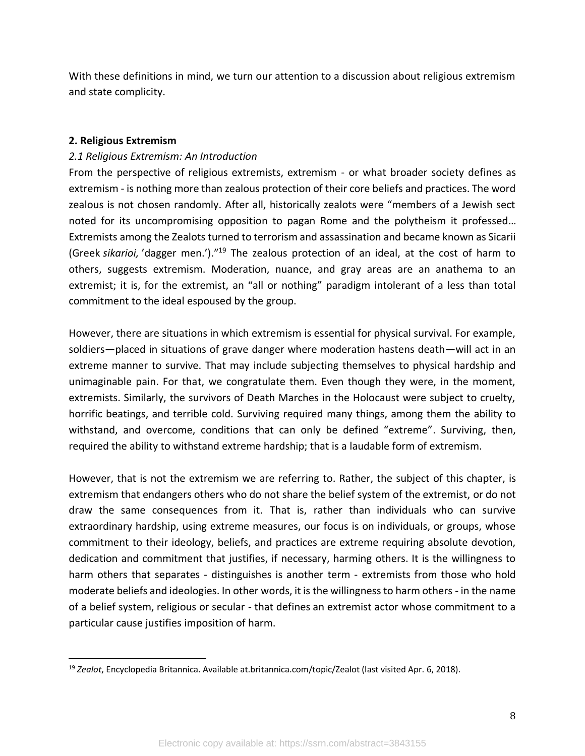With these definitions in mind, we turn our attention to a discussion about religious extremism and state complicity.

#### **2. Religious Extremism**

#### *2.1 Religious Extremism: An Introduction*

From the perspective of religious extremists, extremism - or what broader society defines as extremism - is nothing more than zealous protection of their core beliefs and practices. The word zealous is not chosen randomly. After all, historically zealots were "members of a Jewish sect noted for its uncompromising opposition to pagan Rome and the polytheism it professed… Extremists among the Zealots turned to terrorism and assassination and became known as Sicarii (Greek *sikarioi,* 'dagger men.')."<sup>19</sup> The zealous protection of an ideal, at the cost of harm to others, suggests extremism. Moderation, nuance, and gray areas are an anathema to an extremist; it is, for the extremist, an "all or nothing" paradigm intolerant of a less than total commitment to the ideal espoused by the group.

However, there are situations in which extremism is essential for physical survival. For example, soldiers—placed in situations of grave danger where moderation hastens death—will act in an extreme manner to survive. That may include subjecting themselves to physical hardship and unimaginable pain. For that, we congratulate them. Even though they were, in the moment, extremists. Similarly, the survivors of Death Marches in the Holocaust were subject to cruelty, horrific beatings, and terrible cold. Surviving required many things, among them the ability to withstand, and overcome, conditions that can only be defined "extreme". Surviving, then, required the ability to withstand extreme hardship; that is a laudable form of extremism.

However, that is not the extremism we are referring to. Rather, the subject of this chapter, is extremism that endangers others who do not share the belief system of the extremist, or do not draw the same consequences from it. That is, rather than individuals who can survive extraordinary hardship, using extreme measures, our focus is on individuals, or groups, whose commitment to their ideology, beliefs, and practices are extreme requiring absolute devotion, dedication and commitment that justifies, if necessary, harming others. It is the willingness to harm others that separates - distinguishes is another term - extremists from those who hold moderate beliefs and ideologies. In other words, it is the willingness to harm others - in the name of a belief system, religious or secular - that defines an extremist actor whose commitment to a particular cause justifies imposition of harm.

<sup>19</sup> *Zealot*, Encyclopedia Britannica. Available at.britannica.com/topic/Zealot (last visited Apr. 6, 2018).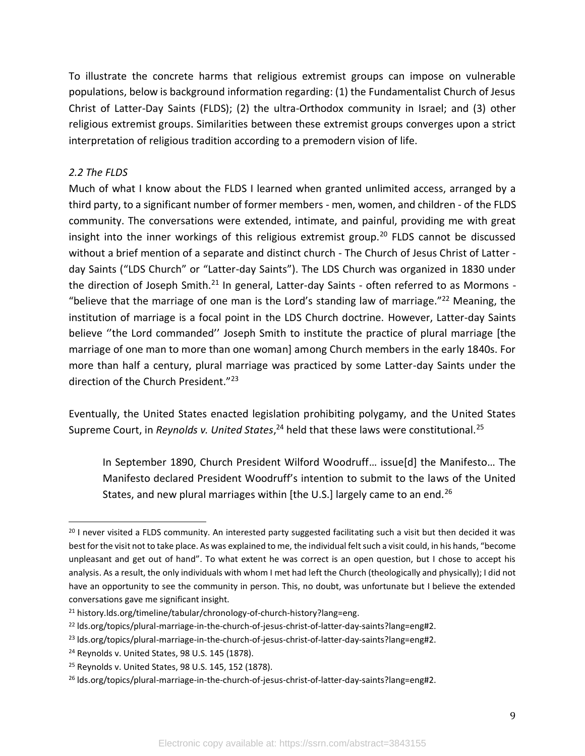To illustrate the concrete harms that religious extremist groups can impose on vulnerable populations, below is background information regarding: (1) the Fundamentalist Church of Jesus Christ of Latter-Day Saints (FLDS); (2) the ultra-Orthodox community in Israel; and (3) other religious extremist groups. Similarities between these extremist groups converges upon a strict interpretation of religious tradition according to a premodern vision of life.

#### *2.2 The FLDS*

Much of what I know about the FLDS I learned when granted unlimited access, arranged by a third party, to a significant number of former members - men, women, and children - of the FLDS community. The conversations were extended, intimate, and painful, providing me with great insight into the inner workings of this religious extremist group.<sup>20</sup> FLDS cannot be discussed without a brief mention of a separate and distinct church - The Church of Jesus Christ of Latter day Saints ("LDS Church" or "Latter-day Saints"). The LDS Church was organized in 1830 under the direction of Joseph Smith.<sup>21</sup> In general, Latter-day Saints - often referred to as Mormons -"believe that the marriage of one man is the Lord's standing law of marriage."<sup>22</sup> Meaning, the institution of marriage is a focal point in the LDS Church doctrine. However, Latter-day Saints believe ''the Lord commanded'' Joseph Smith to institute the practice of plural marriage [the marriage of one man to more than one woman] among Church members in the early 1840s. For more than half a century, plural marriage was practiced by some Latter-day Saints under the direction of the Church President."<sup>23</sup>

Eventually, the United States enacted legislation prohibiting polygamy, and the United States Supreme Court, in *Reynolds v. United States*,<sup>24</sup> held that these laws were constitutional.<sup>25</sup>

In September 1890, Church President Wilford Woodruff… issue[d] the Manifesto… The Manifesto declared President Woodruff's intention to submit to the laws of the United States, and new plural marriages within [the U.S.] largely came to an end.<sup>26</sup>

 $20$  I never visited a FLDS community. An interested party suggested facilitating such a visit but then decided it was best for the visit not to take place. As was explained to me, the individual felt such a visit could, in his hands, "become unpleasant and get out of hand". To what extent he was correct is an open question, but I chose to accept his analysis. As a result, the only individuals with whom I met had left the Church (theologically and physically); I did not have an opportunity to see the community in person. This, no doubt, was unfortunate but I believe the extended conversations gave me significant insight.

<sup>&</sup>lt;sup>21</sup> history.lds.org/timeline/tabular/chronology-of-church-history?lang=eng.

<sup>22</sup> lds.org/topics/plural-marriage-in-the-church-of-jesus-christ-of-latter-day-saints?lang=eng#2.

<sup>23</sup> lds.org/topics/plural-marriage-in-the-church-of-jesus-christ-of-latter-day-saints?lang=eng#2.

<sup>24</sup> Reynolds v. United States, 98 U.S. 145 (1878).

<sup>25</sup> Reynolds v. United States, 98 U.S. 145, 152 (1878).

<sup>26</sup> lds.org/topics/plural-marriage-in-the-church-of-jesus-christ-of-latter-day-saints?lang=eng#2.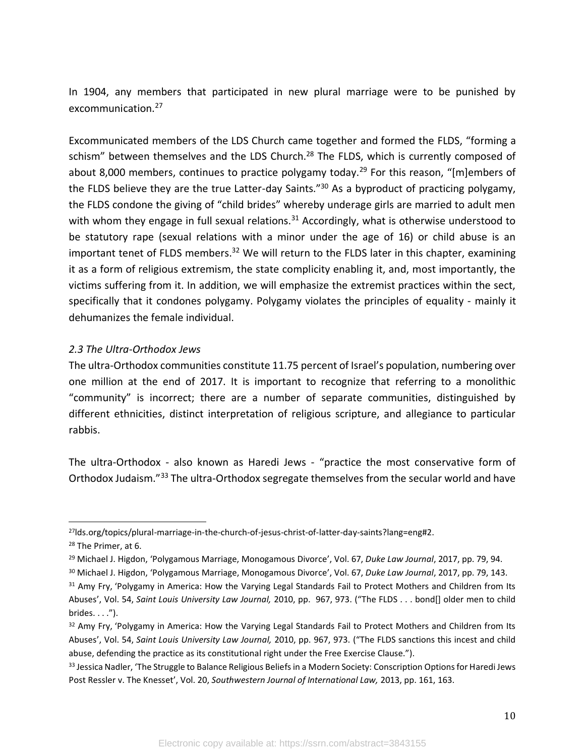In 1904, any members that participated in new plural marriage were to be punished by excommunication.<sup>27</sup>

Excommunicated members of the LDS Church came together and formed the FLDS, "forming a schism" between themselves and the LDS Church.<sup>28</sup> The FLDS, which is currently composed of about 8,000 members, continues to practice polygamy today.<sup>29</sup> For this reason, "[m]embers of the FLDS believe they are the true Latter-day Saints."<sup>30</sup> As a byproduct of practicing polygamy, the FLDS condone the giving of "child brides" whereby underage girls are married to adult men with whom they engage in full sexual relations.<sup>31</sup> Accordingly, what is otherwise understood to be statutory rape (sexual relations with a minor under the age of 16) or child abuse is an important tenet of FLDS members.<sup>32</sup> We will return to the FLDS later in this chapter, examining it as a form of religious extremism, the state complicity enabling it, and, most importantly, the victims suffering from it. In addition, we will emphasize the extremist practices within the sect, specifically that it condones polygamy. Polygamy violates the principles of equality - mainly it dehumanizes the female individual.

#### *2.3 The Ultra-Orthodox Jews*

The ultra-Orthodox communities constitute 11.75 percent of Israel's population, numbering over one million at the end of 2017. It is important to recognize that referring to a monolithic "community" is incorrect; there are a number of separate communities, distinguished by different ethnicities, distinct interpretation of religious scripture, and allegiance to particular rabbis.

The ultra-Orthodox - also known as Haredi Jews - "practice the most conservative form of Orthodox Judaism."<sup>33</sup> The ultra-Orthodox segregate themselves from the secular world and have

<sup>27</sup>lds.org/topics/plural-marriage-in-the-church-of-jesus-christ-of-latter-day-saints?lang=eng#2.

<sup>28</sup> The Primer, at 6.

<sup>29</sup> Michael J. Higdon, 'Polygamous Marriage, Monogamous Divorce', Vol. 67, *Duke Law Journal*, 2017, pp. 79, 94.

<sup>30</sup> Michael J. Higdon, 'Polygamous Marriage, Monogamous Divorce', Vol. 67, *Duke Law Journal*, 2017, pp. 79, 143.

<sup>&</sup>lt;sup>31</sup> Amy Fry, 'Polygamy in America: How the Varying Legal Standards Fail to Protect Mothers and Children from Its Abuses', Vol. 54, *Saint Louis University Law Journal,* 2010, pp. 967, 973. ("The FLDS . . . bond[] older men to child  $brides. . . .".$ 

<sup>32</sup> Amy Fry, 'Polygamy in America: How the Varying Legal Standards Fail to Protect Mothers and Children from Its Abuses', Vol. 54, *Saint Louis University Law Journal,* 2010, pp. 967, 973. ("The FLDS sanctions this incest and child abuse, defending the practice as its constitutional right under the Free Exercise Clause.").

<sup>33</sup> Jessica Nadler, 'The Struggle to Balance Religious Beliefs in a Modern Society: Conscription Options for Haredi Jews Post Ressler v. The Knesset', Vol. 20, *Southwestern Journal of International Law,* 2013, pp. 161, 163.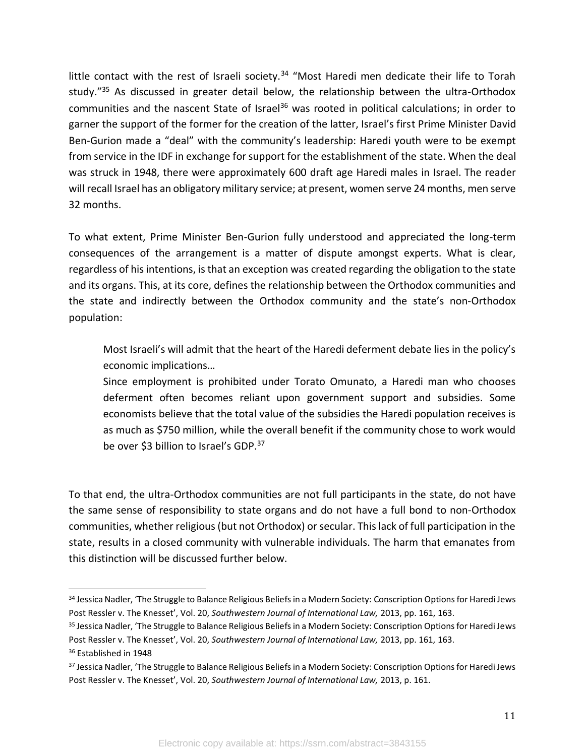little contact with the rest of Israeli society.<sup>34</sup> "Most Haredi men dedicate their life to Torah study."<sup>35</sup> As discussed in greater detail below, the relationship between the ultra-Orthodox communities and the nascent State of Israel<sup>36</sup> was rooted in political calculations; in order to garner the support of the former for the creation of the latter, Israel's first Prime Minister David Ben-Gurion made a "deal" with the community's leadership: Haredi youth were to be exempt from service in the IDF in exchange for support for the establishment of the state. When the deal was struck in 1948, there were approximately 600 draft age Haredi males in Israel. The reader will recall Israel has an obligatory military service; at present, women serve 24 months, men serve 32 months.

To what extent, Prime Minister Ben-Gurion fully understood and appreciated the long-term consequences of the arrangement is a matter of dispute amongst experts. What is clear, regardless of his intentions, is that an exception was created regarding the obligation to the state and its organs. This, at its core, defines the relationship between the Orthodox communities and the state and indirectly between the Orthodox community and the state's non-Orthodox population:

Most Israeli's will admit that the heart of the Haredi deferment debate lies in the policy's economic implications…

Since employment is prohibited under Torato Omunato, a Haredi man who chooses deferment often becomes reliant upon government support and subsidies. Some economists believe that the total value of the subsidies the Haredi population receives is as much as \$750 million, while the overall benefit if the community chose to work would be over \$3 billion to Israel's GDP.<sup>37</sup>

To that end, the ultra-Orthodox communities are not full participants in the state, do not have the same sense of responsibility to state organs and do not have a full bond to non-Orthodox communities, whether religious (but not Orthodox) or secular. This lack of full participation in the state, results in a closed community with vulnerable individuals. The harm that emanates from this distinction will be discussed further below.

<sup>&</sup>lt;sup>34</sup> Jessica Nadler, 'The Struggle to Balance Religious Beliefs in a Modern Society: Conscription Options for Haredi Jews Post Ressler v. The Knesset', Vol. 20, *Southwestern Journal of International Law,* 2013, pp. 161, 163.

<sup>&</sup>lt;sup>35</sup> Jessica Nadler, 'The Struggle to Balance Religious Beliefs in a Modern Society: Conscription Options for Haredi Jews Post Ressler v. The Knesset', Vol. 20, *Southwestern Journal of International Law,* 2013, pp. 161, 163.

<sup>36</sup> Established in 1948

<sup>&</sup>lt;sup>37</sup> Jessica Nadler, 'The Struggle to Balance Religious Beliefs in a Modern Society: Conscription Options for Haredi Jews Post Ressler v. The Knesset', Vol. 20, *Southwestern Journal of International Law,* 2013, p. 161.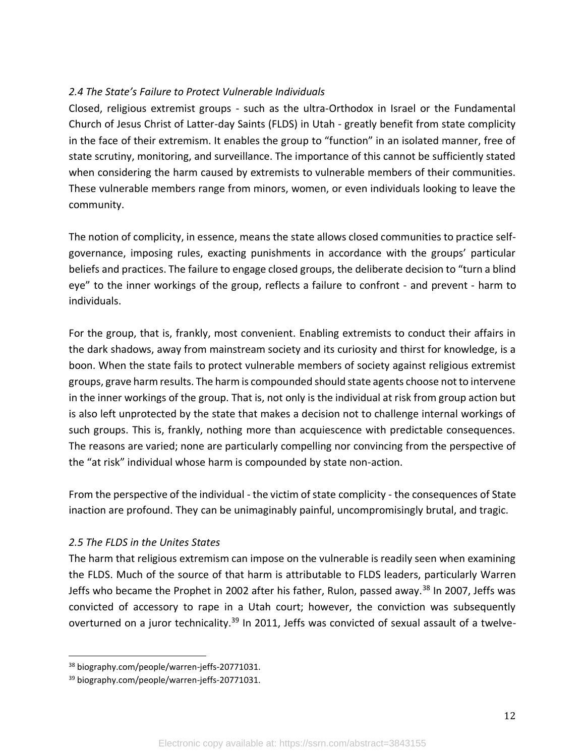## *2.4 The State's Failure to Protect Vulnerable Individuals*

Closed, religious extremist groups - such as the ultra-Orthodox in Israel or the Fundamental Church of Jesus Christ of Latter-day Saints (FLDS) in Utah - greatly benefit from state complicity in the face of their extremism. It enables the group to "function" in an isolated manner, free of state scrutiny, monitoring, and surveillance. The importance of this cannot be sufficiently stated when considering the harm caused by extremists to vulnerable members of their communities. These vulnerable members range from minors, women, or even individuals looking to leave the community.

The notion of complicity, in essence, means the state allows closed communities to practice selfgovernance, imposing rules, exacting punishments in accordance with the groups' particular beliefs and practices. The failure to engage closed groups, the deliberate decision to "turn a blind eye" to the inner workings of the group, reflects a failure to confront - and prevent - harm to individuals.

For the group, that is, frankly, most convenient. Enabling extremists to conduct their affairs in the dark shadows, away from mainstream society and its curiosity and thirst for knowledge, is a boon. When the state fails to protect vulnerable members of society against religious extremist groups, grave harm results. The harm is compounded should state agents choose not to intervene in the inner workings of the group. That is, not only is the individual at risk from group action but is also left unprotected by the state that makes a decision not to challenge internal workings of such groups. This is, frankly, nothing more than acquiescence with predictable consequences. The reasons are varied; none are particularly compelling nor convincing from the perspective of the "at risk" individual whose harm is compounded by state non-action.

From the perspective of the individual - the victim of state complicity - the consequences of State inaction are profound. They can be unimaginably painful, uncompromisingly brutal, and tragic.

#### *2.5 The FLDS in the Unites States*

The harm that religious extremism can impose on the vulnerable is readily seen when examining the FLDS. Much of the source of that harm is attributable to FLDS leaders, particularly Warren Jeffs who became the Prophet in 2002 after his father, Rulon, passed away.<sup>38</sup> In 2007, Jeffs was convicted of accessory to rape in a Utah court; however, the conviction was subsequently overturned on a juror technicality.<sup>39</sup> In 2011, Jeffs was convicted of sexual assault of a twelve-

<sup>38</sup> biography.com/people/warren-jeffs-20771031.

<sup>39</sup> biography.com/people/warren-jeffs-20771031.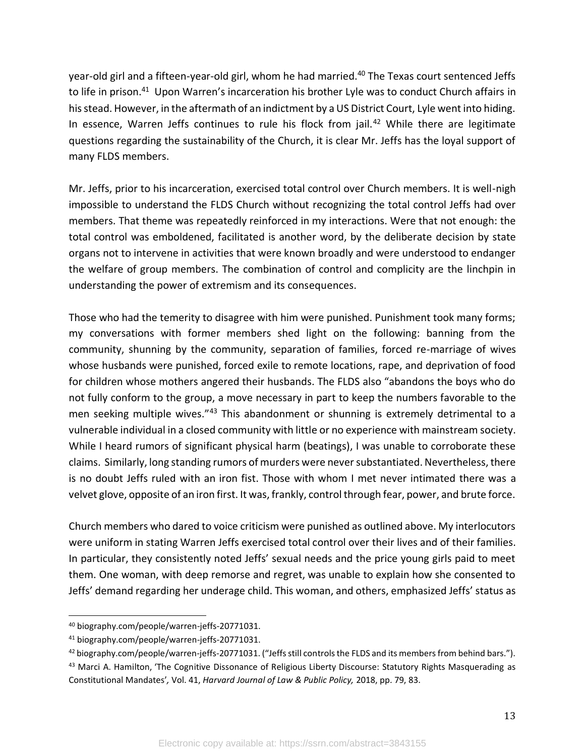year-old girl and a fifteen-year-old girl, whom he had married.<sup>40</sup> The Texas court sentenced Jeffs to life in prison.<sup>41</sup> Upon Warren's incarceration his brother Lyle was to conduct Church affairs in his stead. However, in the aftermath of an indictment by a US District Court, Lyle went into hiding. In essence, Warren Jeffs continues to rule his flock from jail.<sup>42</sup> While there are legitimate questions regarding the sustainability of the Church, it is clear Mr. Jeffs has the loyal support of many FLDS members.

Mr. Jeffs, prior to his incarceration, exercised total control over Church members. It is well-nigh impossible to understand the FLDS Church without recognizing the total control Jeffs had over members. That theme was repeatedly reinforced in my interactions. Were that not enough: the total control was emboldened, facilitated is another word, by the deliberate decision by state organs not to intervene in activities that were known broadly and were understood to endanger the welfare of group members. The combination of control and complicity are the linchpin in understanding the power of extremism and its consequences.

Those who had the temerity to disagree with him were punished. Punishment took many forms; my conversations with former members shed light on the following: banning from the community, shunning by the community, separation of families, forced re-marriage of wives whose husbands were punished, forced exile to remote locations, rape, and deprivation of food for children whose mothers angered their husbands. The FLDS also "abandons the boys who do not fully conform to the group, a move necessary in part to keep the numbers favorable to the men seeking multiple wives."43 This abandonment or shunning is extremely detrimental to a vulnerable individual in a closed community with little or no experience with mainstream society. While I heard rumors of significant physical harm (beatings), I was unable to corroborate these claims. Similarly, long standing rumors of murders were never substantiated. Nevertheless, there is no doubt Jeffs ruled with an iron fist. Those with whom I met never intimated there was a velvet glove, opposite of an iron first. It was, frankly, control through fear, power, and brute force.

Church members who dared to voice criticism were punished as outlined above. My interlocutors were uniform in stating Warren Jeffs exercised total control over their lives and of their families. In particular, they consistently noted Jeffs' sexual needs and the price young girls paid to meet them. One woman, with deep remorse and regret, was unable to explain how she consented to Jeffs' demand regarding her underage child. This woman, and others, emphasized Jeffs' status as

<sup>40</sup> biography.com/people/warren-jeffs-20771031.

<sup>41</sup> biography.com/people/warren-jeffs-20771031.

<sup>42</sup> biography.com/people/warren-jeffs-20771031. ("Jeffs still controls the FLDS and its members from behind bars.").

<sup>43</sup> Marci A. Hamilton, 'The Cognitive Dissonance of Religious Liberty Discourse: Statutory Rights Masquerading as Constitutional Mandates'*,* Vol. 41, *Harvard Journal of Law & Public Policy,* 2018, pp. 79, 83.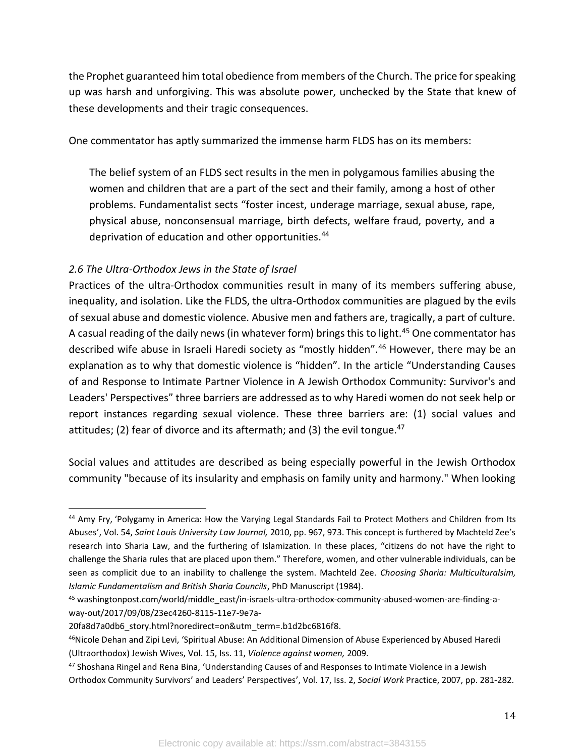the Prophet guaranteed him total obedience from members of the Church. The price for speaking up was harsh and unforgiving. This was absolute power, unchecked by the State that knew of these developments and their tragic consequences.

One commentator has aptly summarized the immense harm FLDS has on its members:

The belief system of an FLDS sect results in the men in polygamous families abusing the women and children that are a part of the sect and their family, among a host of other problems. Fundamentalist sects "foster incest, underage marriage, sexual abuse, rape, physical abuse, nonconsensual marriage, birth defects, welfare fraud, poverty, and a deprivation of education and other opportunities.<sup>44</sup>

### *2.6 The Ultra-Orthodox Jews in the State of Israel*

Practices of the ultra-Orthodox communities result in many of its members suffering abuse, inequality, and isolation. Like the FLDS, the ultra-Orthodox communities are plagued by the evils of sexual abuse and domestic violence. Abusive men and fathers are, tragically, a part of culture. A casual reading of the daily news (in whatever form) brings this to light.<sup>45</sup> One commentator has described wife abuse in Israeli Haredi society as "mostly hidden".<sup>46</sup> However, there may be an explanation as to why that domestic violence is "hidden". In the article "Understanding Causes of and Response to Intimate Partner Violence in A Jewish Orthodox Community: Survivor's and Leaders' Perspectives" three barriers are addressed as to why Haredi women do not seek help or report instances regarding sexual violence. These three barriers are: (1) social values and attitudes; (2) fear of divorce and its aftermath; and (3) the evil tongue.<sup>47</sup>

Social values and attitudes are described as being especially powerful in the Jewish Orthodox community "because of its insularity and emphasis on family unity and harmony." When looking

<sup>44</sup> Amy Fry, 'Polygamy in America: How the Varying Legal Standards Fail to Protect Mothers and Children from Its Abuses', Vol. 54, *Saint Louis University Law Journal,* 2010, pp. 967, 973. This concept is furthered by Machteld Zee's research into Sharia Law, and the furthering of Islamization. In these places, "citizens do not have the right to challenge the Sharia rules that are placed upon them." Therefore, women, and other vulnerable individuals, can be seen as complicit due to an inability to challenge the system. Machteld Zee. *Choosing Sharia: Multiculturalsim, Islamic Fundamentalism and British Sharia Councils*, PhD Manuscript (1984).

<sup>45</sup> washingtonpost.com/world/middle\_east/in-israels-ultra-orthodox-community-abused-women-are-finding-away-out/2017/09/08/23ec4260-8115-11e7-9e7a-

<sup>20</sup>fa8d7a0db6\_story.html?noredirect=on&utm\_term=.b1d2bc6816f8.

<sup>46</sup>Nicole Dehan and Zipi Levi, 'Spiritual Abuse: An Additional Dimension of Abuse Experienced by Abused Haredi (Ultraorthodox) Jewish Wives, Vol. 15, Iss. 11, *Violence against women,* 2009.

<sup>47</sup> Shoshana Ringel and Rena Bina, 'Understanding Causes of and Responses to Intimate Violence in a Jewish Orthodox Community Survivors' and Leaders' Perspectives', Vol. 17, Iss. 2, *Social Work* Practice, 2007, pp. 281-282.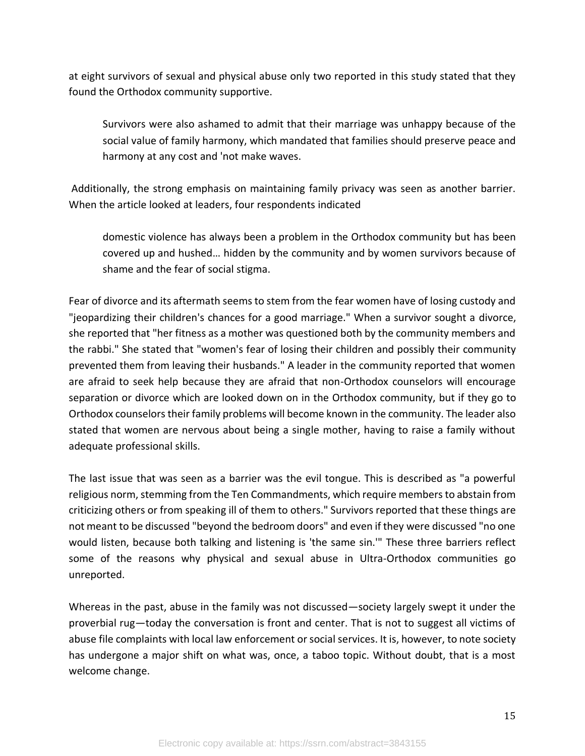at eight survivors of sexual and physical abuse only two reported in this study stated that they found the Orthodox community supportive.

Survivors were also ashamed to admit that their marriage was unhappy because of the social value of family harmony, which mandated that families should preserve peace and harmony at any cost and 'not make waves.

Additionally, the strong emphasis on maintaining family privacy was seen as another barrier. When the article looked at leaders, four respondents indicated

domestic violence has always been a problem in the Orthodox community but has been covered up and hushed… hidden by the community and by women survivors because of shame and the fear of social stigma.

Fear of divorce and its aftermath seems to stem from the fear women have of losing custody and "jeopardizing their children's chances for a good marriage." When a survivor sought a divorce, she reported that "her fitness as a mother was questioned both by the community members and the rabbi." She stated that "women's fear of losing their children and possibly their community prevented them from leaving their husbands." A leader in the community reported that women are afraid to seek help because they are afraid that non-Orthodox counselors will encourage separation or divorce which are looked down on in the Orthodox community, but if they go to Orthodox counselors their family problems will become known in the community. The leader also stated that women are nervous about being a single mother, having to raise a family without adequate professional skills.

The last issue that was seen as a barrier was the evil tongue. This is described as "a powerful religious norm, stemming from the Ten Commandments, which require members to abstain from criticizing others or from speaking ill of them to others." Survivors reported that these things are not meant to be discussed "beyond the bedroom doors" and even if they were discussed "no one would listen, because both talking and listening is 'the same sin.'" These three barriers reflect some of the reasons why physical and sexual abuse in Ultra-Orthodox communities go unreported.

Whereas in the past, abuse in the family was not discussed—society largely swept it under the proverbial rug—today the conversation is front and center. That is not to suggest all victims of abuse file complaints with local law enforcement or social services. It is, however, to note society has undergone a major shift on what was, once, a taboo topic. Without doubt, that is a most welcome change.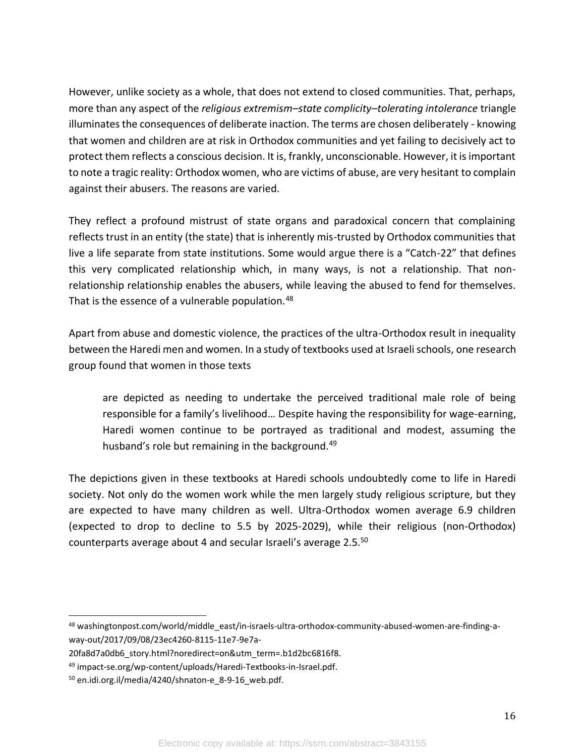However, unlike society as a whole, that does not extend to closed communities. That, perhaps, more than any aspect of the *religious extremism–state complicity–tolerating intolerance* triangle illuminates the consequences of deliberate inaction. The terms are chosen deliberately - knowing that women and children are at risk in Orthodox communities and yet failing to decisively act to protect them reflects a conscious decision. It is, frankly, unconscionable. However, it is important to note a tragic reality: Orthodox women, who are victims of abuse, are very hesitant to complain against their abusers. The reasons are varied.

They reflect a profound mistrust of state organs and paradoxical concern that complaining reflects trust in an entity (the state) that is inherently mis-trusted by Orthodox communities that live a life separate from state institutions. Some would argue there is a "Catch-22" that defines this very complicated relationship which, in many ways, is not a relationship. That nonrelationship relationship enables the abusers, while leaving the abused to fend for themselves. That is the essence of a vulnerable population.<sup>48</sup>

Apart from abuse and domestic violence, the practices of the ultra-Orthodox result in inequality between the Haredi men and women. In a study of textbooks used at Israeli schools, one research group found that women in those texts

are depicted as needing to undertake the perceived traditional male role of being responsible for a family's livelihood… Despite having the responsibility for wage-earning, Haredi women continue to be portrayed as traditional and modest, assuming the husband's role but remaining in the background.<sup>49</sup>

The depictions given in these textbooks at Haredi schools undoubtedly come to life in Haredi society. Not only do the women work while the men largely study religious scripture, but they are expected to have many children as well. Ultra-Orthodox women average 6.9 children (expected to drop to decline to 5.5 by 2025-2029), while their religious (non-Orthodox) counterparts average about 4 and secular Israeli's average 2.5.<sup>50</sup>

<sup>48</sup> washingtonpost.com/world/middle\_east/in-israels-ultra-orthodox-community-abused-women-are-finding-away-out/2017/09/08/23ec4260-8115-11e7-9e7a-

<sup>20</sup>fa8d7a0db6\_story.html?noredirect=on&utm\_term=.b1d2bc6816f8.

<sup>49</sup> impact-se.org/wp-content/uploads/Haredi-Textbooks-in-Israel.pdf.

<sup>50</sup> en.idi.org.il/media/4240/shnaton-e\_8-9-16\_web.pdf.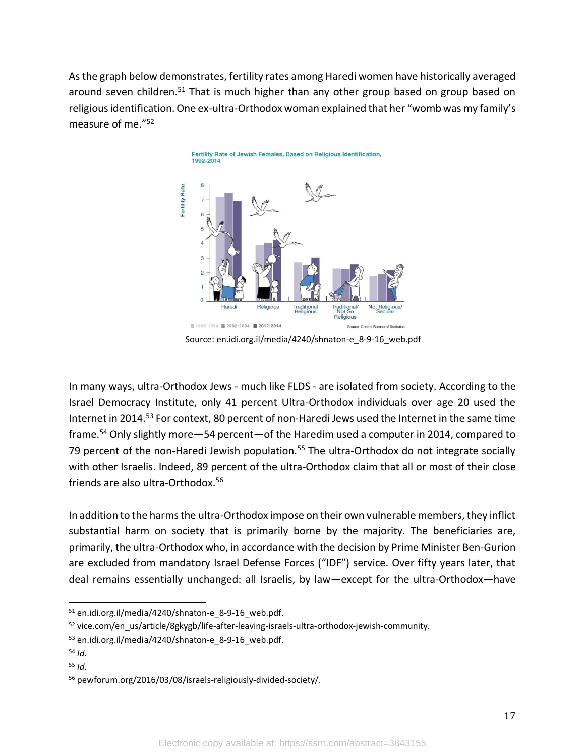As the graph below demonstrates, fertility rates among Haredi women have historically averaged around seven children.<sup>51</sup> That is much higher than any other group based on group based on religious identification. One ex-ultra-Orthodox woman explained that her "womb was my family's measure of me."<sup>52</sup>



Source: en.idi.org.il/media/4240/shnaton-e\_8-9-16\_web.pdf

In many ways, ultra-Orthodox Jews - much like FLDS - are isolated from society. According to the Israel Democracy Institute, only 41 percent Ultra-Orthodox individuals over age 20 used the Internet in 2014.<sup>53</sup> For context, 80 percent of non-Haredi Jews used the Internet in the same time frame.<sup>54</sup> Only slightly more—54 percent—of the Haredim used a computer in 2014, compared to 79 percent of the non-Haredi Jewish population.<sup>55</sup> The ultra-Orthodox do not integrate socially with other Israelis. Indeed, 89 percent of the ultra-Orthodox claim that all or most of their close friends are also ultra-Orthodox.<sup>56</sup>

In addition to the harms the ultra-Orthodox impose on their own vulnerable members, they inflict substantial harm on society that is primarily borne by the majority. The beneficiaries are, primarily, the ultra-Orthodox who, in accordance with the decision by Prime Minister Ben-Gurion are excluded from mandatory Israel Defense Forces ("IDF") service. Over fifty years later, that deal remains essentially unchanged: all Israelis, by law—except for the ultra-Orthodox—have

- <sup>54</sup> *Id.*
- <sup>55</sup> *Id.*

<sup>51</sup> en.idi.org.il/media/4240/shnaton-e 8-9-16 web.pdf.

<sup>52</sup> vice.com/en\_us/article/8gkygb/life-after-leaving-israels-ultra-orthodox-jewish-community.

<sup>53</sup> en.idi.org.il/media/4240/shnaton-e\_8-9-16\_web.pdf.

<sup>56</sup> pewforum.org/2016/03/08/israels-religiously-divided-society/.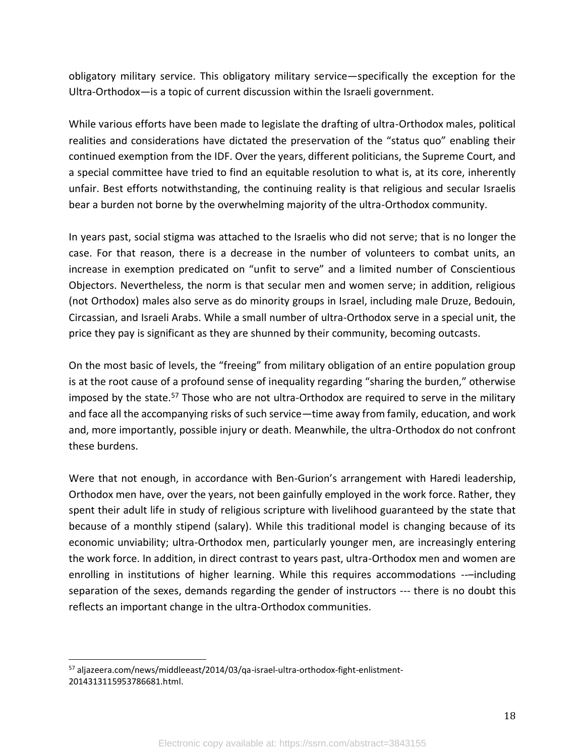obligatory military service. This obligatory military service—specifically the exception for the Ultra-Orthodox—is a topic of current discussion within the Israeli government.

While various efforts have been made to legislate the drafting of ultra-Orthodox males, political realities and considerations have dictated the preservation of the "status quo" enabling their continued exemption from the IDF. Over the years, different politicians, the Supreme Court, and a special committee have tried to find an equitable resolution to what is, at its core, inherently unfair. Best efforts notwithstanding, the continuing reality is that religious and secular Israelis bear a burden not borne by the overwhelming majority of the ultra-Orthodox community.

In years past, social stigma was attached to the Israelis who did not serve; that is no longer the case. For that reason, there is a decrease in the number of volunteers to combat units, an increase in exemption predicated on "unfit to serve" and a limited number of Conscientious Objectors. Nevertheless, the norm is that secular men and women serve; in addition, religious (not Orthodox) males also serve as do minority groups in Israel, including male Druze, Bedouin, Circassian, and Israeli Arabs. While a small number of ultra-Orthodox serve in a special unit, the price they pay is significant as they are shunned by their community, becoming outcasts.

On the most basic of levels, the "freeing" from military obligation of an entire population group is at the root cause of a profound sense of inequality regarding "sharing the burden," otherwise imposed by the state.<sup>57</sup> Those who are not ultra-Orthodox are required to serve in the military and face all the accompanying risks of such service—time away from family, education, and work and, more importantly, possible injury or death. Meanwhile, the ultra-Orthodox do not confront these burdens.

Were that not enough, in accordance with Ben-Gurion's arrangement with Haredi leadership, Orthodox men have, over the years, not been gainfully employed in the work force. Rather, they spent their adult life in study of religious scripture with livelihood guaranteed by the state that because of a monthly stipend (salary). While this traditional model is changing because of its economic unviability; ultra-Orthodox men, particularly younger men, are increasingly entering the work force. In addition, in direct contrast to years past, ultra-Orthodox men and women are enrolling in institutions of higher learning. While this requires accommodations ---including separation of the sexes, demands regarding the gender of instructors --- there is no doubt this reflects an important change in the ultra-Orthodox communities.

<sup>57</sup> aljazeera.com/news/middleeast/2014/03/qa-israel-ultra-orthodox-fight-enlistment-2014313115953786681.html.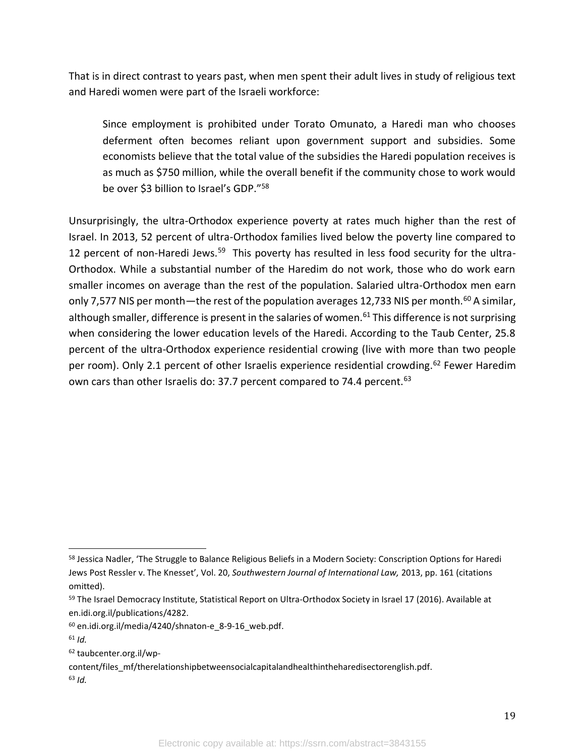That is in direct contrast to years past, when men spent their adult lives in study of religious text and Haredi women were part of the Israeli workforce:

Since employment is prohibited under Torato Omunato, a Haredi man who chooses deferment often becomes reliant upon government support and subsidies. Some economists believe that the total value of the subsidies the Haredi population receives is as much as \$750 million, while the overall benefit if the community chose to work would be over \$3 billion to Israel's GDP."<sup>58</sup>

Unsurprisingly, the ultra-Orthodox experience poverty at rates much higher than the rest of Israel. In 2013, 52 percent of ultra-Orthodox families lived below the poverty line compared to 12 percent of non-Haredi Jews.<sup>59</sup> This poverty has resulted in less food security for the ultra-Orthodox. While a substantial number of the Haredim do not work, those who do work earn smaller incomes on average than the rest of the population. Salaried ultra-Orthodox men earn only 7,577 NIS per month—the rest of the population averages 12,733 NIS per month.<sup>60</sup> A similar, although smaller, difference is present in the salaries of women.<sup>61</sup> This difference is not surprising when considering the lower education levels of the Haredi. According to the Taub Center, 25.8 percent of the ultra-Orthodox experience residential crowing (live with more than two people per room). Only 2.1 percent of other Israelis experience residential crowding.<sup>62</sup> Fewer Haredim own cars than other Israelis do: 37.7 percent compared to 74.4 percent.<sup>63</sup>

<sup>&</sup>lt;sup>58</sup> Jessica Nadler, 'The Struggle to Balance Religious Beliefs in a Modern Society: Conscription Options for Haredi Jews Post Ressler v. The Knesset', Vol. 20, *Southwestern Journal of International Law,* 2013, pp. 161 (citations omitted).

<sup>&</sup>lt;sup>59</sup> The Israel Democracy Institute, Statistical Report on Ultra-Orthodox Society in Israel 17 (2016). Available at en.idi.org.il/publications/4282.

 $60$  en.idi.org.il/media/4240/shnaton-e 8-9-16 web.pdf.

<sup>61</sup> *Id.*

<sup>62</sup> taubcenter.org.il/wp-

content/files\_mf/therelationshipbetweensocialcapitalandhealthintheharedisectorenglish.pdf. <sup>63</sup> *Id.*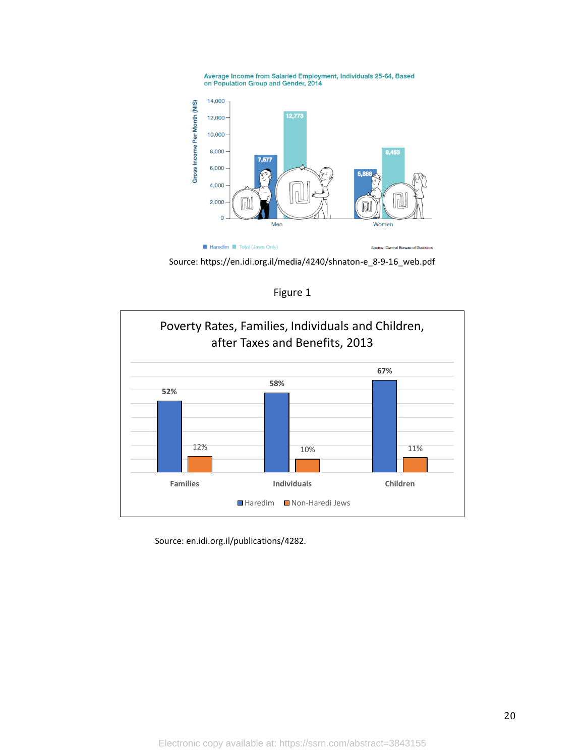Average Income from Salaried Employment, Individuals 25-64, Based<br>on Population Group and Gender, 2014



Source: https://en.idi.org.il/media/4240/shnaton-e\_8-9-16\_web.pdf



Figure 1

Source: en.idi.org.il/publications/4282.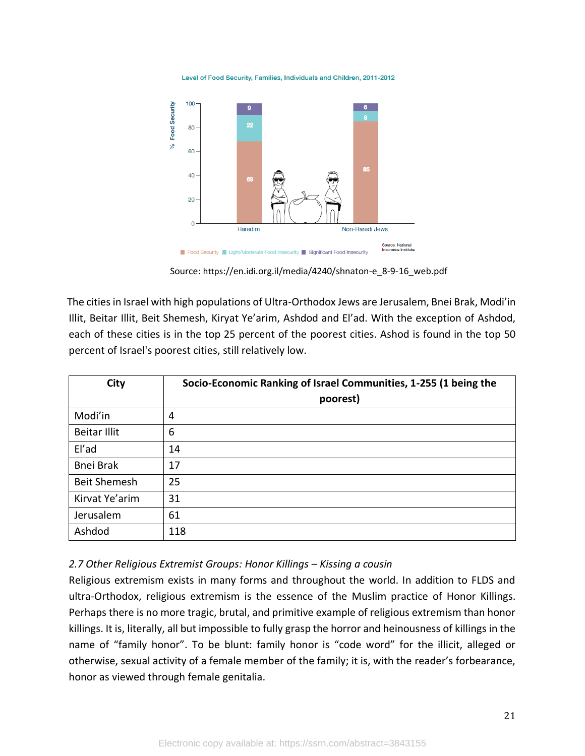Level of Food Security, Families, Individuals and Children, 2011-2012



Source: https://en.idi.org.il/media/4240/shnaton-e\_8-9-16\_web.pdf

The cities in Israel with high populations of Ultra-Orthodox Jews are Jerusalem, Bnei Brak, Modi'in Illit, Beitar Illit, Beit Shemesh, Kiryat Ye'arim, Ashdod and El'ad. With the exception of Ashdod, each of these cities is in the top 25 percent of the poorest cities. Ashod is found in the top 50 percent of Israel's poorest cities, still relatively low.

| City                | Socio-Economic Ranking of Israel Communities, 1-255 (1 being the<br>poorest) |
|---------------------|------------------------------------------------------------------------------|
| Modi'in             | 4                                                                            |
| <b>Beitar Illit</b> | 6                                                                            |
| El'ad               | 14                                                                           |
| <b>Bnei Brak</b>    | 17                                                                           |
| <b>Beit Shemesh</b> | 25                                                                           |
| Kirvat Ye'arim      | 31                                                                           |
| Jerusalem           | 61                                                                           |
| Ashdod              | 118                                                                          |

#### *2.7 Other Religious Extremist Groups: Honor Killings – Kissing a cousin*

Religious extremism exists in many forms and throughout the world. In addition to FLDS and ultra-Orthodox, religious extremism is the essence of the Muslim practice of Honor Killings. Perhaps there is no more tragic, brutal, and primitive example of religious extremism than honor killings. It is, literally, all but impossible to fully grasp the horror and heinousness of killings in the name of "family honor". To be blunt: family honor is "code word" for the illicit, alleged or otherwise, sexual activity of a female member of the family; it is, with the reader's forbearance, honor as viewed through female genitalia.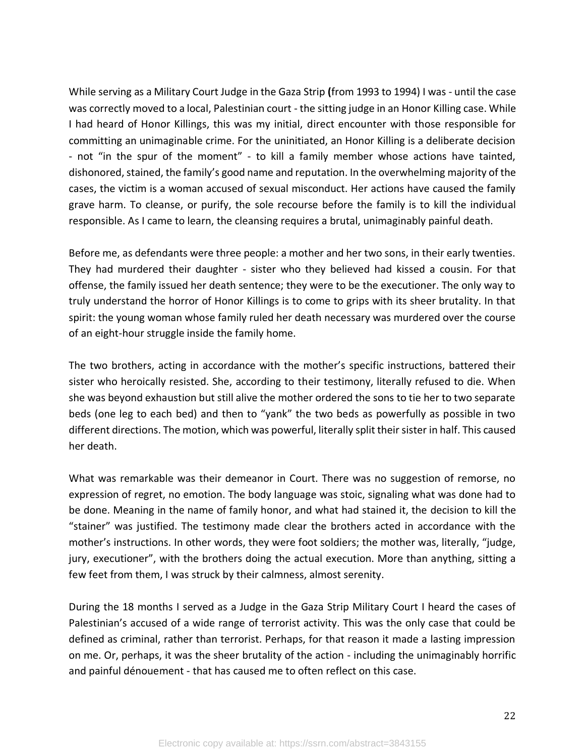While serving as a Military Court Judge in the Gaza Strip **(**from 1993 to 1994) I was - until the case was correctly moved to a local, Palestinian court - the sitting judge in an Honor Killing case. While I had heard of Honor Killings, this was my initial, direct encounter with those responsible for committing an unimaginable crime. For the uninitiated, an Honor Killing is a deliberate decision - not "in the spur of the moment" - to kill a family member whose actions have tainted, dishonored, stained, the family's good name and reputation. In the overwhelming majority of the cases, the victim is a woman accused of sexual misconduct. Her actions have caused the family grave harm. To cleanse, or purify, the sole recourse before the family is to kill the individual responsible. As I came to learn, the cleansing requires a brutal, unimaginably painful death.

Before me, as defendants were three people: a mother and her two sons, in their early twenties. They had murdered their daughter - sister who they believed had kissed a cousin. For that offense, the family issued her death sentence; they were to be the executioner. The only way to truly understand the horror of Honor Killings is to come to grips with its sheer brutality. In that spirit: the young woman whose family ruled her death necessary was murdered over the course of an eight-hour struggle inside the family home.

The two brothers, acting in accordance with the mother's specific instructions, battered their sister who heroically resisted. She, according to their testimony, literally refused to die. When she was beyond exhaustion but still alive the mother ordered the sons to tie her to two separate beds (one leg to each bed) and then to "yank" the two beds as powerfully as possible in two different directions. The motion, which was powerful, literally split their sister in half. This caused her death.

What was remarkable was their demeanor in Court. There was no suggestion of remorse, no expression of regret, no emotion. The body language was stoic, signaling what was done had to be done. Meaning in the name of family honor, and what had stained it, the decision to kill the "stainer" was justified. The testimony made clear the brothers acted in accordance with the mother's instructions. In other words, they were foot soldiers; the mother was, literally, "judge, jury, executioner", with the brothers doing the actual execution. More than anything, sitting a few feet from them, I was struck by their calmness, almost serenity.

During the 18 months I served as a Judge in the Gaza Strip Military Court I heard the cases of Palestinian's accused of a wide range of terrorist activity. This was the only case that could be defined as criminal, rather than terrorist. Perhaps, for that reason it made a lasting impression on me. Or, perhaps, it was the sheer brutality of the action - including the unimaginably horrific and painful dénouement - that has caused me to often reflect on this case.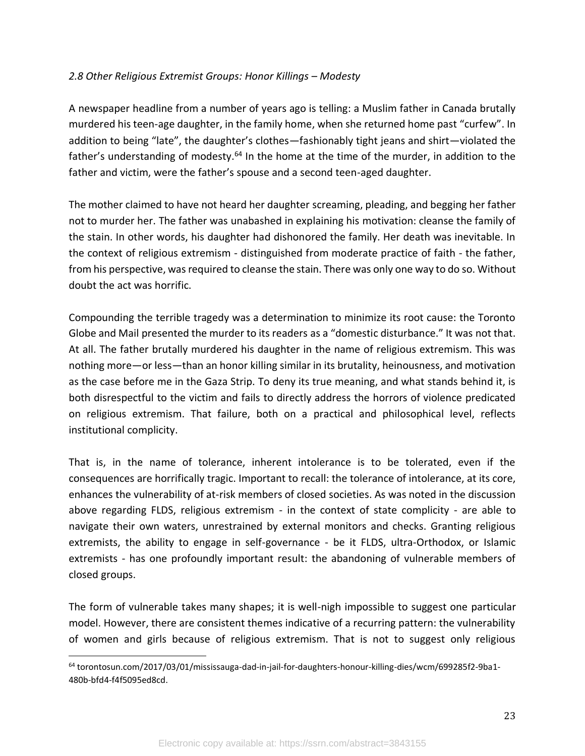## *2.8 Other Religious Extremist Groups: Honor Killings – Modesty*

A newspaper headline from a number of years ago is telling: a Muslim father in Canada brutally murdered his teen-age daughter, in the family home, when she returned home past "curfew". In addition to being "late", the daughter's clothes—fashionably tight jeans and shirt—violated the father's understanding of modesty.<sup>64</sup> In the home at the time of the murder, in addition to the father and victim, were the father's spouse and a second teen-aged daughter.

The mother claimed to have not heard her daughter screaming, pleading, and begging her father not to murder her. The father was unabashed in explaining his motivation: cleanse the family of the stain. In other words, his daughter had dishonored the family. Her death was inevitable. In the context of religious extremism - distinguished from moderate practice of faith - the father, from his perspective, was required to cleanse the stain. There was only one way to do so. Without doubt the act was horrific.

Compounding the terrible tragedy was a determination to minimize its root cause: the Toronto Globe and Mail presented the murder to its readers as a "domestic disturbance." It was not that. At all. The father brutally murdered his daughter in the name of religious extremism. This was nothing more—or less—than an honor killing similar in its brutality, heinousness, and motivation as the case before me in the Gaza Strip. To deny its true meaning, and what stands behind it, is both disrespectful to the victim and fails to directly address the horrors of violence predicated on religious extremism. That failure, both on a practical and philosophical level, reflects institutional complicity.

That is, in the name of tolerance, inherent intolerance is to be tolerated, even if the consequences are horrifically tragic. Important to recall: the tolerance of intolerance, at its core, enhances the vulnerability of at-risk members of closed societies. As was noted in the discussion above regarding FLDS, religious extremism - in the context of state complicity - are able to navigate their own waters, unrestrained by external monitors and checks. Granting religious extremists, the ability to engage in self-governance - be it FLDS, ultra-Orthodox, or Islamic extremists - has one profoundly important result: the abandoning of vulnerable members of closed groups.

The form of vulnerable takes many shapes; it is well-nigh impossible to suggest one particular model. However, there are consistent themes indicative of a recurring pattern: the vulnerability of women and girls because of religious extremism. That is not to suggest only religious

<sup>64</sup> torontosun.com/2017/03/01/mississauga-dad-in-jail-for-daughters-honour-killing-dies/wcm/699285f2-9ba1- 480b-bfd4-f4f5095ed8cd.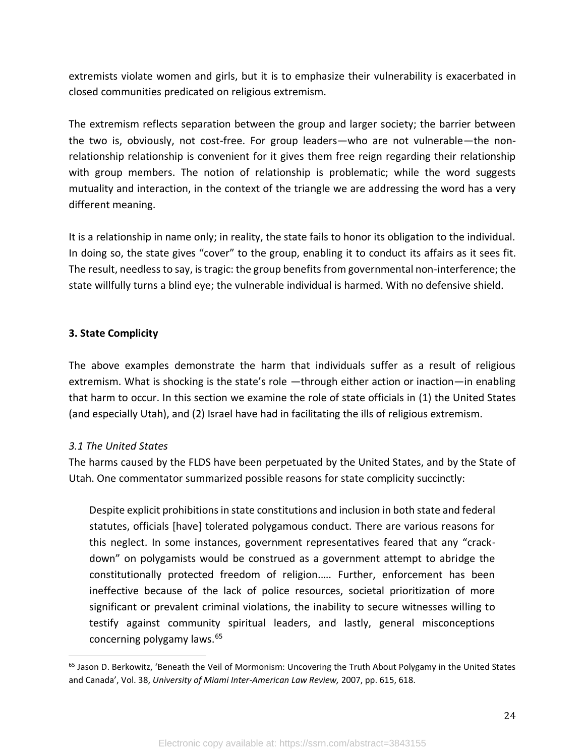extremists violate women and girls, but it is to emphasize their vulnerability is exacerbated in closed communities predicated on religious extremism.

The extremism reflects separation between the group and larger society; the barrier between the two is, obviously, not cost-free. For group leaders—who are not vulnerable—the nonrelationship relationship is convenient for it gives them free reign regarding their relationship with group members. The notion of relationship is problematic; while the word suggests mutuality and interaction, in the context of the triangle we are addressing the word has a very different meaning.

It is a relationship in name only; in reality, the state fails to honor its obligation to the individual. In doing so, the state gives "cover" to the group, enabling it to conduct its affairs as it sees fit. The result, needless to say, is tragic: the group benefits from governmental non-interference; the state willfully turns a blind eye; the vulnerable individual is harmed. With no defensive shield.

### **3. State Complicity**

The above examples demonstrate the harm that individuals suffer as a result of religious extremism. What is shocking is the state's role —through either action or inaction—in enabling that harm to occur. In this section we examine the role of state officials in (1) the United States (and especially Utah), and (2) Israel have had in facilitating the ills of religious extremism.

# *3.1 The United States*

The harms caused by the FLDS have been perpetuated by the United States, and by the State of Utah. One commentator summarized possible reasons for state complicity succinctly:

Despite explicit prohibitions in state constitutions and inclusion in both state and federal statutes, officials [have] tolerated polygamous conduct. There are various reasons for this neglect. In some instances, government representatives feared that any "crackdown" on polygamists would be construed as a government attempt to abridge the constitutionally protected freedom of religion.…. Further, enforcement has been ineffective because of the lack of police resources, societal prioritization of more significant or prevalent criminal violations, the inability to secure witnesses willing to testify against community spiritual leaders, and lastly, general misconceptions concerning polygamy laws.<sup>65</sup>

<sup>65</sup> Jason D. Berkowitz, 'Beneath the Veil of Mormonism: Uncovering the Truth About Polygamy in the United States and Canada', Vol. 38, *University of Miami Inter-American Law Review,* 2007, pp. 615, 618.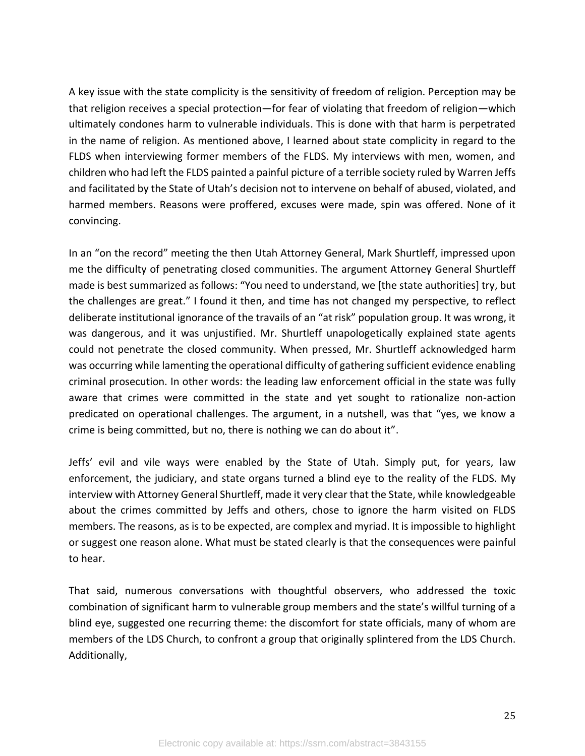A key issue with the state complicity is the sensitivity of freedom of religion. Perception may be that religion receives a special protection—for fear of violating that freedom of religion—which ultimately condones harm to vulnerable individuals. This is done with that harm is perpetrated in the name of religion. As mentioned above, I learned about state complicity in regard to the FLDS when interviewing former members of the FLDS. My interviews with men, women, and children who had left the FLDS painted a painful picture of a terrible society ruled by Warren Jeffs and facilitated by the State of Utah's decision not to intervene on behalf of abused, violated, and harmed members. Reasons were proffered, excuses were made, spin was offered. None of it convincing.

In an "on the record" meeting the then Utah Attorney General, Mark Shurtleff, impressed upon me the difficulty of penetrating closed communities. The argument Attorney General Shurtleff made is best summarized as follows: "You need to understand, we [the state authorities] try, but the challenges are great." I found it then, and time has not changed my perspective, to reflect deliberate institutional ignorance of the travails of an "at risk" population group. It was wrong, it was dangerous, and it was unjustified. Mr. Shurtleff unapologetically explained state agents could not penetrate the closed community. When pressed, Mr. Shurtleff acknowledged harm was occurring while lamenting the operational difficulty of gathering sufficient evidence enabling criminal prosecution. In other words: the leading law enforcement official in the state was fully aware that crimes were committed in the state and yet sought to rationalize non-action predicated on operational challenges. The argument, in a nutshell, was that "yes, we know a crime is being committed, but no, there is nothing we can do about it".

Jeffs' evil and vile ways were enabled by the State of Utah. Simply put, for years, law enforcement, the judiciary, and state organs turned a blind eye to the reality of the FLDS. My interview with Attorney General Shurtleff, made it very clear that the State, while knowledgeable about the crimes committed by Jeffs and others, chose to ignore the harm visited on FLDS members. The reasons, as is to be expected, are complex and myriad. It is impossible to highlight or suggest one reason alone. What must be stated clearly is that the consequences were painful to hear.

That said, numerous conversations with thoughtful observers, who addressed the toxic combination of significant harm to vulnerable group members and the state's willful turning of a blind eye, suggested one recurring theme: the discomfort for state officials, many of whom are members of the LDS Church, to confront a group that originally splintered from the LDS Church. Additionally,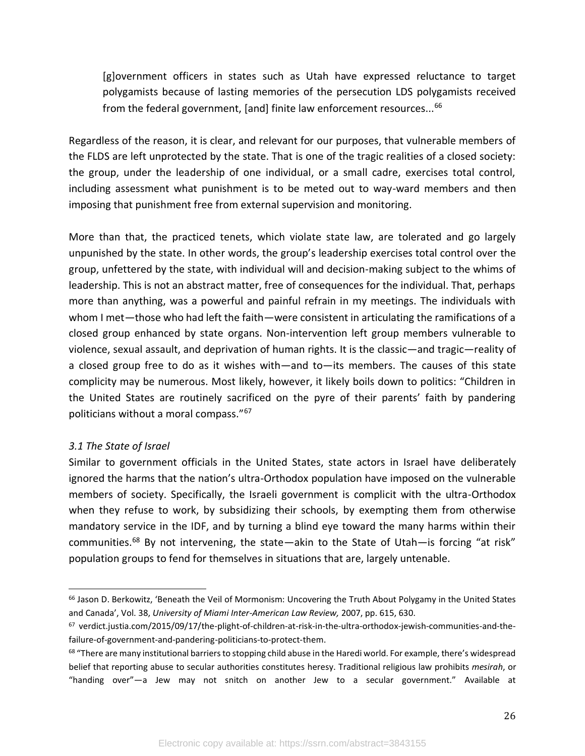[g]overnment officers in states such as Utah have expressed reluctance to target polygamists because of lasting memories of the persecution LDS polygamists received from the federal government, [and] finite law enforcement resources...<sup>66</sup>

Regardless of the reason, it is clear, and relevant for our purposes, that vulnerable members of the FLDS are left unprotected by the state. That is one of the tragic realities of a closed society: the group, under the leadership of one individual, or a small cadre, exercises total control, including assessment what punishment is to be meted out to way-ward members and then imposing that punishment free from external supervision and monitoring.

More than that, the practiced tenets, which violate state law, are tolerated and go largely unpunished by the state. In other words, the group's leadership exercises total control over the group, unfettered by the state, with individual will and decision-making subject to the whims of leadership. This is not an abstract matter, free of consequences for the individual. That, perhaps more than anything, was a powerful and painful refrain in my meetings. The individuals with whom I met—those who had left the faith—were consistent in articulating the ramifications of a closed group enhanced by state organs. Non-intervention left group members vulnerable to violence, sexual assault, and deprivation of human rights. It is the classic—and tragic—reality of a closed group free to do as it wishes with—and to—its members. The causes of this state complicity may be numerous. Most likely, however, it likely boils down to politics: "Children in the United States are routinely sacrificed on the pyre of their parents' faith by pandering politicians without a moral compass."<sup>67</sup>

# *3.1 The State of Israel*

Similar to government officials in the United States, state actors in Israel have deliberately ignored the harms that the nation's ultra-Orthodox population have imposed on the vulnerable members of society. Specifically, the Israeli government is complicit with the ultra-Orthodox when they refuse to work, by subsidizing their schools, by exempting them from otherwise mandatory service in the IDF, and by turning a blind eye toward the many harms within their communities.<sup>68</sup> By not intervening, the state—akin to the State of Utah—is forcing "at risk" population groups to fend for themselves in situations that are, largely untenable.

<sup>&</sup>lt;sup>66</sup> Jason D. Berkowitz, 'Beneath the Veil of Mormonism: Uncovering the Truth About Polygamy in the United States and Canada', Vol. 38, *University of Miami Inter-American Law Review,* 2007, pp. 615, 630.

<sup>67</sup> verdict.justia.com/2015/09/17/the-plight-of-children-at-risk-in-the-ultra-orthodox-jewish-communities-and-thefailure-of-government-and-pandering-politicians-to-protect-them.

<sup>&</sup>lt;sup>68</sup> "There are many institutional barriers to stopping child abuse in the Haredi world. For example, there's widespread belief that reporting abuse to secular authorities constitutes heresy. Traditional religious law prohibits *mesirah*, or "handing over"—a Jew may not snitch on another Jew to a secular government." Available at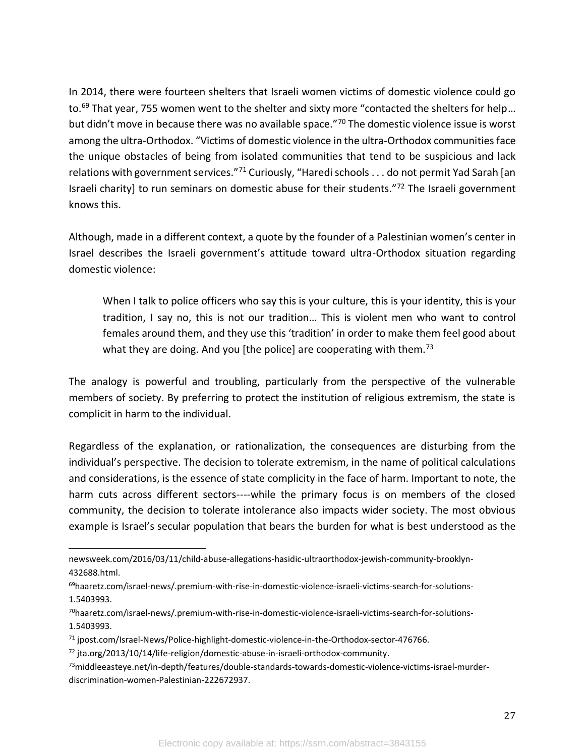In 2014, there were fourteen shelters that Israeli women victims of domestic violence could go to.<sup>69</sup> That year, 755 women went to the shelter and sixty more "contacted the shelters for help... but didn't move in because there was no available space."<sup>70</sup> The domestic violence issue is worst among the ultra-Orthodox. "Victims of domestic violence in the ultra-Orthodox communities face the unique obstacles of being from isolated communities that tend to be suspicious and lack relations with government services."<sup>71</sup> Curiously, "Haredi schools  $\dots$  do not permit Yad Sarah [an Israeli charity] to run seminars on domestic abuse for their students."<sup>72</sup> The Israeli government knows this.

Although, made in a different context, a quote by the founder of a Palestinian women's center in Israel describes the Israeli government's attitude toward ultra-Orthodox situation regarding domestic violence:

When I talk to police officers who say this is your culture, this is your identity, this is your tradition, I say no, this is not our tradition… This is violent men who want to control females around them, and they use this 'tradition' in order to make them feel good about what they are doing. And you [the police] are cooperating with them.<sup>73</sup>

The analogy is powerful and troubling, particularly from the perspective of the vulnerable members of society. By preferring to protect the institution of religious extremism, the state is complicit in harm to the individual.

Regardless of the explanation, or rationalization, the consequences are disturbing from the individual's perspective. The decision to tolerate extremism, in the name of political calculations and considerations, is the essence of state complicity in the face of harm. Important to note, the harm cuts across different sectors----while the primary focus is on members of the closed community, the decision to tolerate intolerance also impacts wider society. The most obvious example is Israel's secular population that bears the burden for what is best understood as the

newsweek.com/2016/03/11/child-abuse-allegations-hasidic-ultraorthodox-jewish-community-brooklyn-432688.html.

<sup>69</sup>haaretz.com/israel-news/.premium-with-rise-in-domestic-violence-israeli-victims-search-for-solutions-1.5403993.

<sup>70</sup>haaretz.com/israel-news/.premium-with-rise-in-domestic-violence-israeli-victims-search-for-solutions-1.5403993.

<sup>71</sup> jpost.com/Israel-News/Police-highlight-domestic-violence-in-the-Orthodox-sector-476766.

<sup>72</sup> jta.org/2013/10/14/life-religion/domestic-abuse-in-israeli-orthodox-community.

<sup>73</sup>middleeasteye.net/in-depth/features/double-standards-towards-domestic-violence-victims-israel-murderdiscrimination-women-Palestinian-222672937.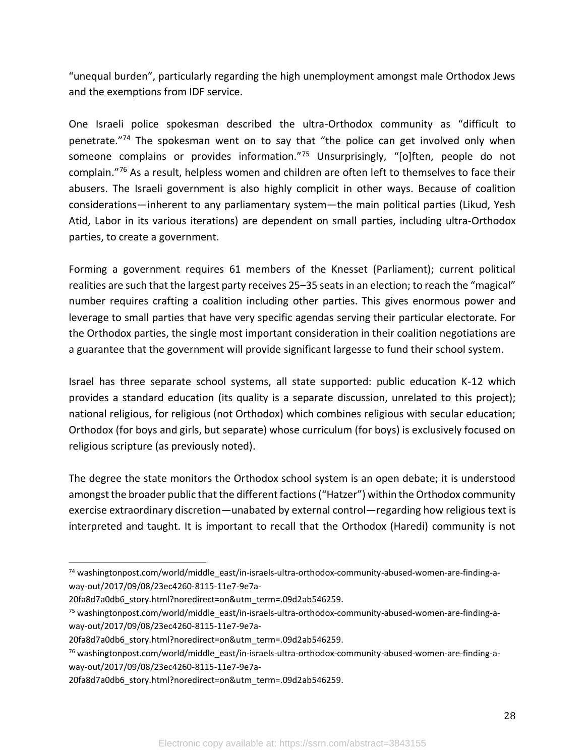"unequal burden", particularly regarding the high unemployment amongst male Orthodox Jews and the exemptions from IDF service.

One Israeli police spokesman described the ultra-Orthodox community as "difficult to penetrate."<sup>74</sup> The spokesman went on to say that "the police can get involved only when someone complains or provides information."75 Unsurprisingly, "[o]ften, people do not complain."<sup>76</sup> As a result, helpless women and children are often left to themselves to face their abusers. The Israeli government is also highly complicit in other ways. Because of coalition considerations—inherent to any parliamentary system—the main political parties (Likud, Yesh Atid, Labor in its various iterations) are dependent on small parties, including ultra-Orthodox parties, to create a government.

Forming a government requires 61 members of the Knesset (Parliament); current political realities are such that the largest party receives 25–35 seats in an election; to reach the "magical" number requires crafting a coalition including other parties. This gives enormous power and leverage to small parties that have very specific agendas serving their particular electorate. For the Orthodox parties, the single most important consideration in their coalition negotiations are a guarantee that the government will provide significant largesse to fund their school system.

Israel has three separate school systems, all state supported: public education K-12 which provides a standard education (its quality is a separate discussion, unrelated to this project); national religious, for religious (not Orthodox) which combines religious with secular education; Orthodox (for boys and girls, but separate) whose curriculum (for boys) is exclusively focused on religious scripture (as previously noted).

The degree the state monitors the Orthodox school system is an open debate; it is understood amongst the broader public that the different factions ("Hatzer") within the Orthodox community exercise extraordinary discretion—unabated by external control—regarding how religious text is interpreted and taught. It is important to recall that the Orthodox (Haredi) community is not

<sup>74</sup> washingtonpost.com/world/middle\_east/in-israels-ultra-orthodox-community-abused-women-are-finding-away-out/2017/09/08/23ec4260-8115-11e7-9e7a-

<sup>20</sup>fa8d7a0db6\_story.html?noredirect=on&utm\_term=.09d2ab546259.

<sup>75</sup> washingtonpost.com/world/middle\_east/in-israels-ultra-orthodox-community-abused-women-are-finding-away-out/2017/09/08/23ec4260-8115-11e7-9e7a-

<sup>20</sup>fa8d7a0db6\_story.html?noredirect=on&utm\_term=.09d2ab546259.

<sup>76</sup> washingtonpost.com/world/middle\_east/in-israels-ultra-orthodox-community-abused-women-are-finding-away-out/2017/09/08/23ec4260-8115-11e7-9e7a-

<sup>20</sup>fa8d7a0db6\_story.html?noredirect=on&utm\_term=.09d2ab546259.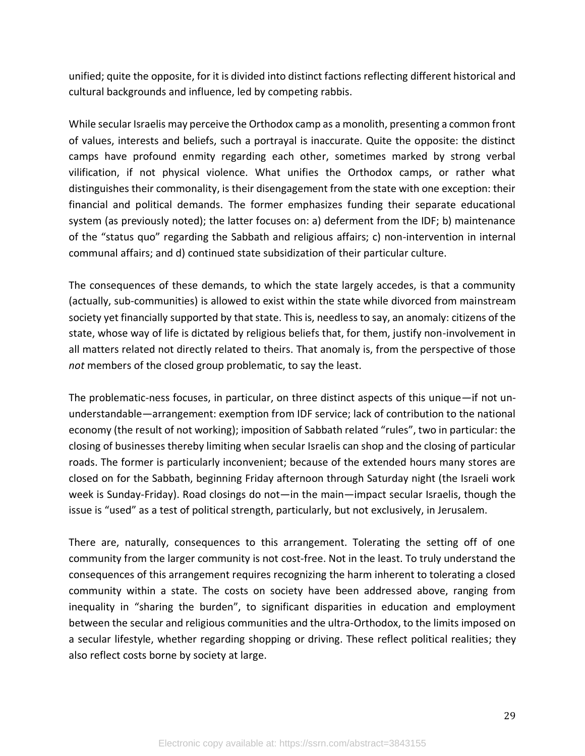unified; quite the opposite, for it is divided into distinct factions reflecting different historical and cultural backgrounds and influence, led by competing rabbis.

While secular Israelis may perceive the Orthodox camp as a monolith, presenting a common front of values, interests and beliefs, such a portrayal is inaccurate. Quite the opposite: the distinct camps have profound enmity regarding each other, sometimes marked by strong verbal vilification, if not physical violence. What unifies the Orthodox camps, or rather what distinguishes their commonality, is their disengagement from the state with one exception: their financial and political demands. The former emphasizes funding their separate educational system (as previously noted); the latter focuses on: a) deferment from the IDF; b) maintenance of the "status quo" regarding the Sabbath and religious affairs; c) non-intervention in internal communal affairs; and d) continued state subsidization of their particular culture.

The consequences of these demands, to which the state largely accedes, is that a community (actually, sub-communities) is allowed to exist within the state while divorced from mainstream society yet financially supported by that state. This is, needless to say, an anomaly: citizens of the state, whose way of life is dictated by religious beliefs that, for them, justify non-involvement in all matters related not directly related to theirs. That anomaly is, from the perspective of those *not* members of the closed group problematic, to say the least.

The problematic-ness focuses, in particular, on three distinct aspects of this unique—if not ununderstandable—arrangement: exemption from IDF service; lack of contribution to the national economy (the result of not working); imposition of Sabbath related "rules", two in particular: the closing of businesses thereby limiting when secular Israelis can shop and the closing of particular roads. The former is particularly inconvenient; because of the extended hours many stores are closed on for the Sabbath, beginning Friday afternoon through Saturday night (the Israeli work week is Sunday-Friday). Road closings do not—in the main—impact secular Israelis, though the issue is "used" as a test of political strength, particularly, but not exclusively, in Jerusalem.

There are, naturally, consequences to this arrangement. Tolerating the setting off of one community from the larger community is not cost-free. Not in the least. To truly understand the consequences of this arrangement requires recognizing the harm inherent to tolerating a closed community within a state. The costs on society have been addressed above, ranging from inequality in "sharing the burden", to significant disparities in education and employment between the secular and religious communities and the ultra-Orthodox, to the limits imposed on a secular lifestyle, whether regarding shopping or driving. These reflect political realities; they also reflect costs borne by society at large.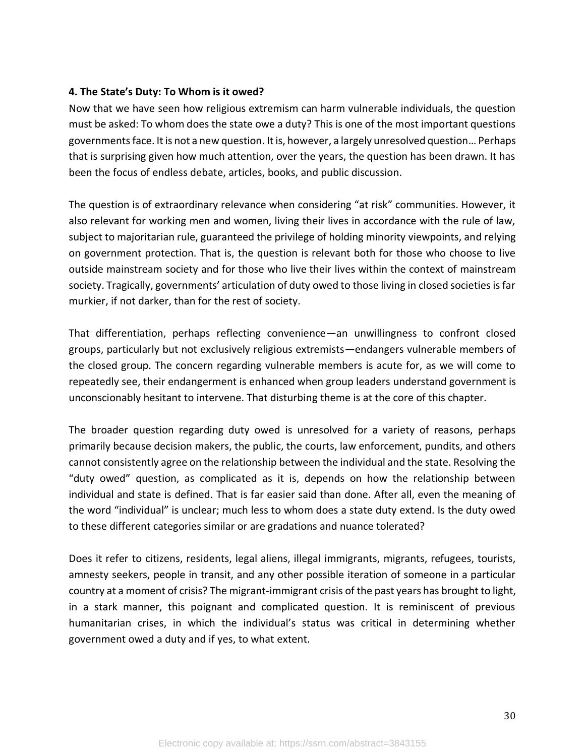#### **4. The State's Duty: To Whom is it owed?**

Now that we have seen how religious extremism can harm vulnerable individuals, the question must be asked: To whom does the state owe a duty? This is one of the most important questions governments face. It is not a new question. It is, however, a largely unresolved question... Perhaps that is surprising given how much attention, over the years, the question has been drawn. It has been the focus of endless debate, articles, books, and public discussion.

The question is of extraordinary relevance when considering "at risk" communities. However, it also relevant for working men and women, living their lives in accordance with the rule of law, subject to majoritarian rule, guaranteed the privilege of holding minority viewpoints, and relying on government protection. That is, the question is relevant both for those who choose to live outside mainstream society and for those who live their lives within the context of mainstream society. Tragically, governments' articulation of duty owed to those living in closed societies is far murkier, if not darker, than for the rest of society.

That differentiation, perhaps reflecting convenience—an unwillingness to confront closed groups, particularly but not exclusively religious extremists—endangers vulnerable members of the closed group. The concern regarding vulnerable members is acute for, as we will come to repeatedly see, their endangerment is enhanced when group leaders understand government is unconscionably hesitant to intervene. That disturbing theme is at the core of this chapter.

The broader question regarding duty owed is unresolved for a variety of reasons, perhaps primarily because decision makers, the public, the courts, law enforcement, pundits, and others cannot consistently agree on the relationship between the individual and the state. Resolving the "duty owed" question, as complicated as it is, depends on how the relationship between individual and state is defined. That is far easier said than done. After all, even the meaning of the word "individual" is unclear; much less to whom does a state duty extend. Is the duty owed to these different categories similar or are gradations and nuance tolerated?

Does it refer to citizens, residents, legal aliens, illegal immigrants, migrants, refugees, tourists, amnesty seekers, people in transit, and any other possible iteration of someone in a particular country at a moment of crisis? The migrant-immigrant crisis of the past years has brought to light, in a stark manner, this poignant and complicated question. It is reminiscent of previous humanitarian crises, in which the individual's status was critical in determining whether government owed a duty and if yes, to what extent.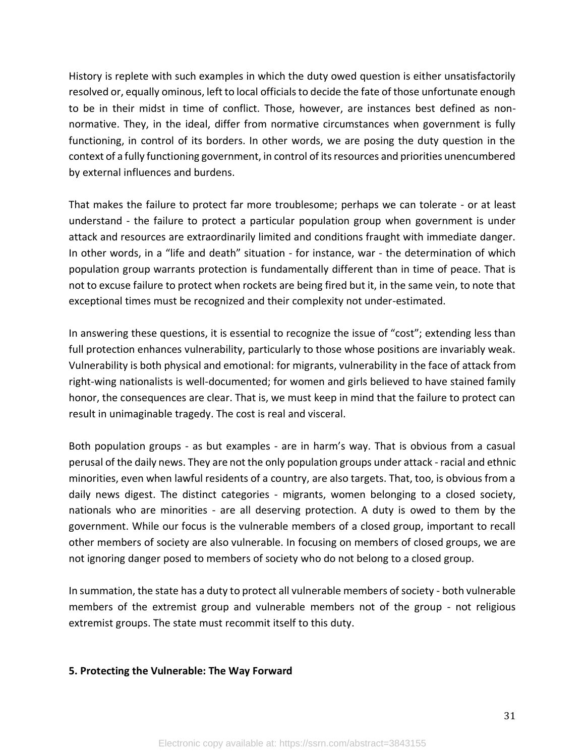History is replete with such examples in which the duty owed question is either unsatisfactorily resolved or, equally ominous, left to local officials to decide the fate of those unfortunate enough to be in their midst in time of conflict. Those, however, are instances best defined as nonnormative. They, in the ideal, differ from normative circumstances when government is fully functioning, in control of its borders. In other words, we are posing the duty question in the context of a fully functioning government, in control of its resources and priorities unencumbered by external influences and burdens.

That makes the failure to protect far more troublesome; perhaps we can tolerate - or at least understand - the failure to protect a particular population group when government is under attack and resources are extraordinarily limited and conditions fraught with immediate danger. In other words, in a "life and death" situation - for instance, war - the determination of which population group warrants protection is fundamentally different than in time of peace. That is not to excuse failure to protect when rockets are being fired but it, in the same vein, to note that exceptional times must be recognized and their complexity not under-estimated.

In answering these questions, it is essential to recognize the issue of "cost"; extending less than full protection enhances vulnerability, particularly to those whose positions are invariably weak. Vulnerability is both physical and emotional: for migrants, vulnerability in the face of attack from right-wing nationalists is well-documented; for women and girls believed to have stained family honor, the consequences are clear. That is, we must keep in mind that the failure to protect can result in unimaginable tragedy. The cost is real and visceral.

Both population groups - as but examples - are in harm's way. That is obvious from a casual perusal of the daily news. They are not the only population groups under attack - racial and ethnic minorities, even when lawful residents of a country, are also targets. That, too, is obvious from a daily news digest. The distinct categories - migrants, women belonging to a closed society, nationals who are minorities - are all deserving protection. A duty is owed to them by the government. While our focus is the vulnerable members of a closed group, important to recall other members of society are also vulnerable. In focusing on members of closed groups, we are not ignoring danger posed to members of society who do not belong to a closed group.

In summation, the state has a duty to protect all vulnerable members of society - both vulnerable members of the extremist group and vulnerable members not of the group - not religious extremist groups. The state must recommit itself to this duty.

#### **5. Protecting the Vulnerable: The Way Forward**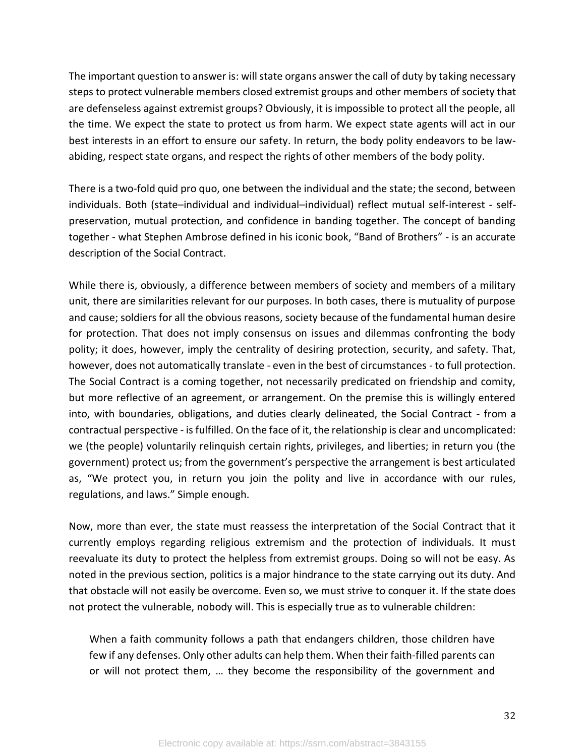The important question to answer is: will state organs answer the call of duty by taking necessary steps to protect vulnerable members closed extremist groups and other members of society that are defenseless against extremist groups? Obviously, it is impossible to protect all the people, all the time. We expect the state to protect us from harm. We expect state agents will act in our best interests in an effort to ensure our safety. In return, the body polity endeavors to be lawabiding, respect state organs, and respect the rights of other members of the body polity.

There is a two-fold quid pro quo, one between the individual and the state; the second, between individuals. Both (state–individual and individual–individual) reflect mutual self-interest - selfpreservation, mutual protection, and confidence in banding together. The concept of banding together - what Stephen Ambrose defined in his iconic book, "Band of Brothers" - is an accurate description of the Social Contract.

While there is, obviously, a difference between members of society and members of a military unit, there are similarities relevant for our purposes. In both cases, there is mutuality of purpose and cause; soldiers for all the obvious reasons, society because of the fundamental human desire for protection. That does not imply consensus on issues and dilemmas confronting the body polity; it does, however, imply the centrality of desiring protection, security, and safety. That, however, does not automatically translate - even in the best of circumstances - to full protection. The Social Contract is a coming together, not necessarily predicated on friendship and comity, but more reflective of an agreement, or arrangement. On the premise this is willingly entered into, with boundaries, obligations, and duties clearly delineated, the Social Contract - from a contractual perspective - is fulfilled. On the face of it, the relationship is clear and uncomplicated: we (the people) voluntarily relinquish certain rights, privileges, and liberties; in return you (the government) protect us; from the government's perspective the arrangement is best articulated as, "We protect you, in return you join the polity and live in accordance with our rules, regulations, and laws." Simple enough.

Now, more than ever, the state must reassess the interpretation of the Social Contract that it currently employs regarding religious extremism and the protection of individuals. It must reevaluate its duty to protect the helpless from extremist groups. Doing so will not be easy. As noted in the previous section, politics is a major hindrance to the state carrying out its duty. And that obstacle will not easily be overcome. Even so, we must strive to conquer it. If the state does not protect the vulnerable, nobody will. This is especially true as to vulnerable children:

When a faith community follows a path that endangers children, those children have few if any defenses. Only other adults can help them. When their faith-filled parents can or will not protect them, … they become the responsibility of the government and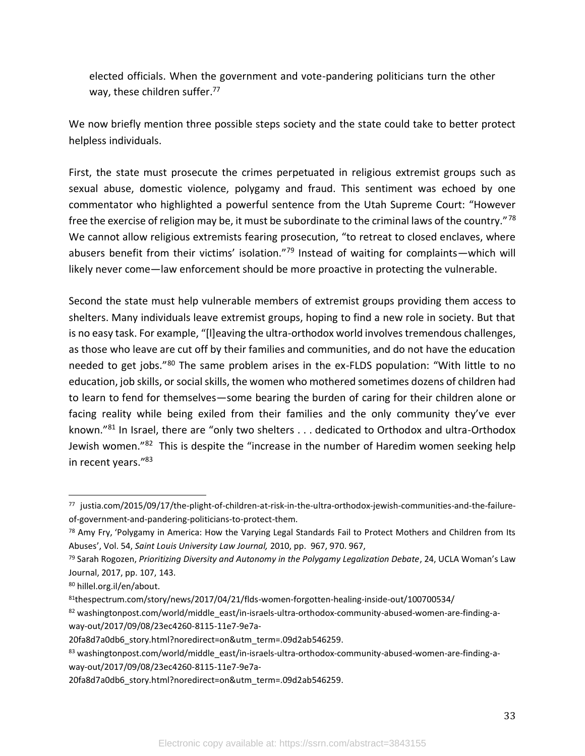elected officials. When the government and vote-pandering politicians turn the other way, these children suffer.<sup>77</sup>

We now briefly mention three possible steps society and the state could take to better protect helpless individuals.

First, the state must prosecute the crimes perpetuated in religious extremist groups such as sexual abuse, domestic violence, polygamy and fraud. This sentiment was echoed by one commentator who highlighted a powerful sentence from the Utah Supreme Court: "However free the exercise of religion may be, it must be subordinate to the criminal laws of the country."<sup>78</sup> We cannot allow religious extremists fearing prosecution, "to retreat to closed enclaves, where abusers benefit from their victims' isolation."<sup>79</sup> Instead of waiting for complaints—which will likely never come—law enforcement should be more proactive in protecting the vulnerable.

Second the state must help vulnerable members of extremist groups providing them access to shelters. Many individuals leave extremist groups, hoping to find a new role in society. But that is no easy task. For example, "[l]eaving the ultra-orthodox world involves tremendous challenges, as those who leave are cut off by their families and communities, and do not have the education needed to get jobs."<sup>80</sup> The same problem arises in the ex-FLDS population: "With little to no education, job skills, or social skills, the women who mothered sometimes dozens of children had to learn to fend for themselves—some bearing the burden of caring for their children alone or facing reality while being exiled from their families and the only community they've ever known."<sup>81</sup> In Israel, there are "only two shelters . . . dedicated to Orthodox and ultra-Orthodox Jewish women."<sup>82</sup> This is despite the "increase in the number of Haredim women seeking help in recent years."<sup>83</sup>

<sup>77</sup> justia.com/2015/09/17/the-plight-of-children-at-risk-in-the-ultra-orthodox-jewish-communities-and-the-failureof-government-and-pandering-politicians-to-protect-them.

<sup>&</sup>lt;sup>78</sup> Amy Fry, 'Polygamy in America: How the Varying Legal Standards Fail to Protect Mothers and Children from Its Abuses', Vol. 54, *Saint Louis University Law Journal,* 2010, pp. 967, 970. 967,

<sup>79</sup> Sarah Rogozen, *Prioritizing Diversity and Autonomy in the Polygamy Legalization Debate*, 24, UCLA Woman's Law Journal, 2017, pp. 107, 143.

<sup>80</sup> hillel.org.il/en/about.

<sup>81</sup>thespectrum.com/story/news/2017/04/21/flds-women-forgotten-healing-inside-out/100700534/

<sup>82</sup> washingtonpost.com/world/middle\_east/in-israels-ultra-orthodox-community-abused-women-are-finding-away-out/2017/09/08/23ec4260-8115-11e7-9e7a-

<sup>20</sup>fa8d7a0db6\_story.html?noredirect=on&utm\_term=.09d2ab546259.

<sup>83</sup> washingtonpost.com/world/middle\_east/in-israels-ultra-orthodox-community-abused-women-are-finding-away-out/2017/09/08/23ec4260-8115-11e7-9e7a-

<sup>20</sup>fa8d7a0db6\_story.html?noredirect=on&utm\_term=.09d2ab546259.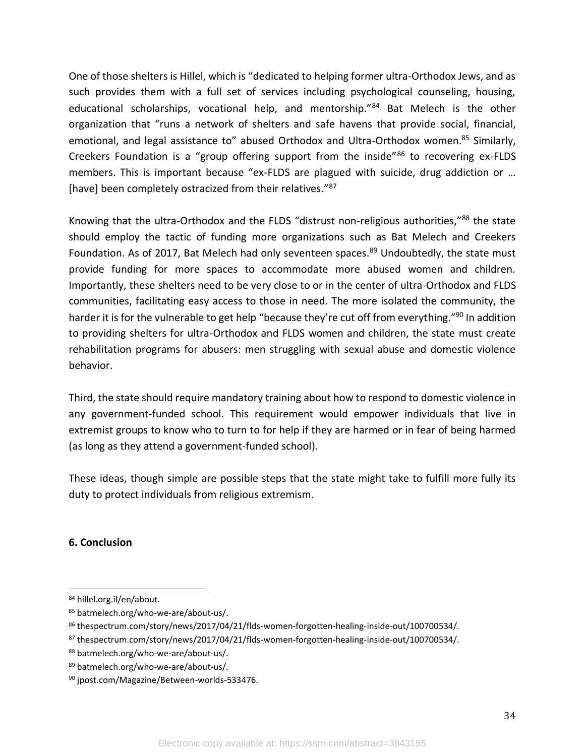One of those shelters is Hillel, which is "dedicated to helping former ultra-Orthodox Jews, and as such provides them with a full set of services including psychological counseling, housing, educational scholarships, vocational help, and mentorship."<sup>84</sup> Bat Melech is the other organization that "runs a network of shelters and safe havens that provide social, financial, emotional, and legal assistance to" abused Orthodox and Ultra-Orthodox women.<sup>85</sup> Similarly, Creekers Foundation is a "group offering support from the inside"<sup>86</sup> to recovering ex-FLDS members. This is important because "ex-FLDS are plagued with suicide, drug addiction or … [have] been completely ostracized from their relatives."<sup>87</sup>

Knowing that the ultra-Orthodox and the FLDS "distrust non-religious authorities,"<sup>88</sup> the state should employ the tactic of funding more organizations such as Bat Melech and Creekers Foundation. As of 2017, Bat Melech had only seventeen spaces.<sup>89</sup> Undoubtedly, the state must provide funding for more spaces to accommodate more abused women and children. Importantly, these shelters need to be very close to or in the center of ultra-Orthodox and FLDS communities, facilitating easy access to those in need. The more isolated the community, the harder it is for the vulnerable to get help "because they're cut off from everything."<sup>90</sup> In addition to providing shelters for ultra-Orthodox and FLDS women and children, the state must create rehabilitation programs for abusers: men struggling with sexual abuse and domestic violence behavior.

Third, the state should require mandatory training about how to respond to domestic violence in any government-funded school. This requirement would empower individuals that live in extremist groups to know who to turn to for help if they are harmed or in fear of being harmed (as long as they attend a government-funded school).

These ideas, though simple are possible steps that the state might take to fulfill more fully its duty to protect individuals from religious extremism.

# **6. Conclusion**

<sup>84</sup> hillel.org.il/en/about.

<sup>85</sup> batmelech.org/who-we-are/about-us/.

<sup>86</sup> thespectrum.com/story/news/2017/04/21/flds-women-forgotten-healing-inside-out/100700534/.

<sup>87</sup> thespectrum.com/story/news/2017/04/21/flds-women-forgotten-healing-inside-out/100700534/.

<sup>88</sup> batmelech.org/who-we-are/about-us/.

<sup>89</sup> batmelech.org/who-we-are/about-us/.

<sup>90</sup> jpost.com/Magazine/Between-worlds-533476.